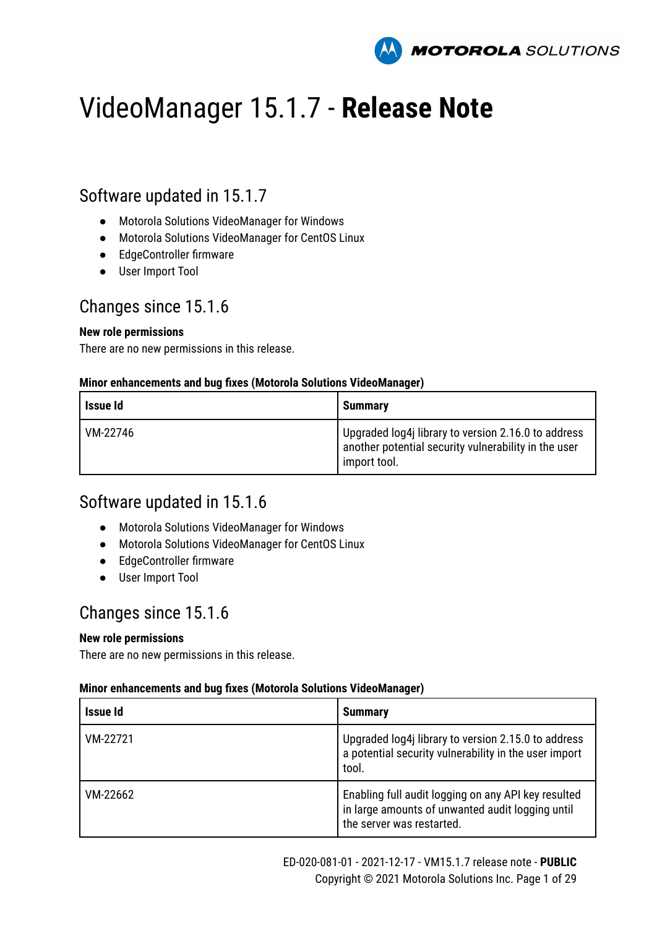

# VideoManager 15.1.7 - **Release Note**

### Software updated in 15.1.7

- Motorola Solutions VideoManager for Windows
- Motorola Solutions VideoManager for CentOS Linux
- EdgeController firmware
- User Import Tool

### Changes since 15.1.6

### **New role permissions**

There are no new permissions in this release.

### **Minor enhancements and bug fixes (Motorola Solutions VideoManager)**

| Issue Id | <b>Summary</b>                                                                                                              |
|----------|-----------------------------------------------------------------------------------------------------------------------------|
| VM-22746 | Upgraded log4j library to version 2.16.0 to address<br>another potential security vulnerability in the user<br>import tool. |

### Software updated in 15.1.6

- Motorola Solutions VideoManager for Windows
- Motorola Solutions VideoManager for CentOS Linux
- EdgeController firmware
- User Import Tool

### Changes since 15.1.6

### **New role permissions**

There are no new permissions in this release.

| Issue Id | <b>Summary</b>                                                                                                                       |
|----------|--------------------------------------------------------------------------------------------------------------------------------------|
| VM-22721 | Upgraded log4j library to version 2.15.0 to address<br>a potential security vulnerability in the user import<br>tool.                |
| VM-22662 | Enabling full audit logging on any API key resulted<br>in large amounts of unwanted audit logging until<br>the server was restarted. |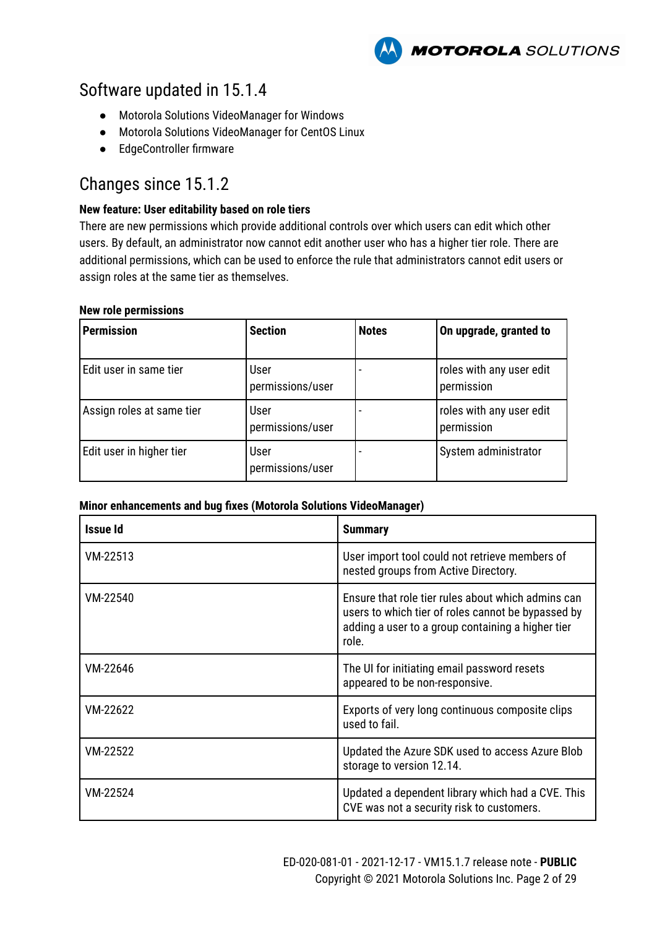**MOTOROLA** SOLUTIONS

### Software updated in 15.1.4

- Motorola Solutions VideoManager for Windows
- Motorola Solutions VideoManager for CentOS Linux
- EdgeController firmware

### Changes since 15.1.2

### **New feature: User editability based on role tiers**

There are new permissions which provide additional controls over which users can edit which other users. By default, an administrator now cannot edit another user who has a higher tier role. There are additional permissions, which can be used to enforce the rule that administrators cannot edit users or assign roles at the same tier as themselves.

#### **New role permissions**

| <b>Permission</b>         | <b>Section</b>           | <b>Notes</b> | On upgrade, granted to                 |
|---------------------------|--------------------------|--------------|----------------------------------------|
| Edit user in same tier    | User<br>permissions/user |              | roles with any user edit<br>permission |
| Assign roles at same tier | User<br>permissions/user |              | roles with any user edit<br>permission |
| Edit user in higher tier  | User<br>permissions/user |              | System administrator                   |

| <b>Issue Id</b> | <b>Summary</b>                                                                                                                                                         |
|-----------------|------------------------------------------------------------------------------------------------------------------------------------------------------------------------|
| VM-22513        | User import tool could not retrieve members of<br>nested groups from Active Directory.                                                                                 |
| VM-22540        | Ensure that role tier rules about which admins can<br>users to which tier of roles cannot be bypassed by<br>adding a user to a group containing a higher tier<br>role. |
| VM-22646        | The UI for initiating email password resets<br>appeared to be non-responsive.                                                                                          |
| VM-22622        | Exports of very long continuous composite clips<br>used to fail.                                                                                                       |
| VM-22522        | Updated the Azure SDK used to access Azure Blob<br>storage to version 12.14.                                                                                           |
| VM-22524        | Updated a dependent library which had a CVE. This<br>CVE was not a security risk to customers.                                                                         |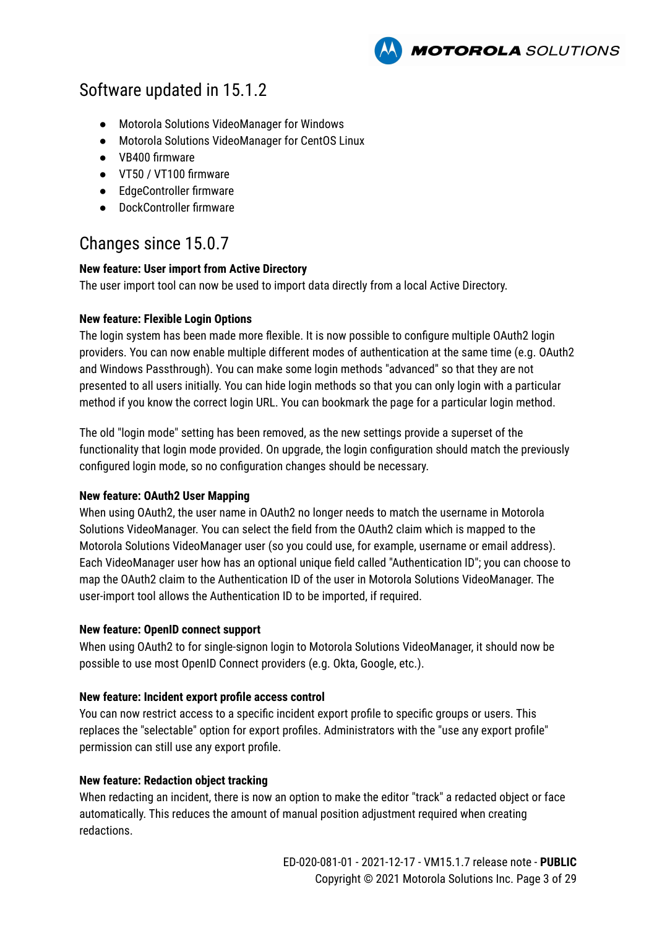**MOTOROLA** SOLUTIONS

### Software updated in 15.1.2

- Motorola Solutions VideoManager for Windows
- Motorola Solutions VideoManager for CentOS Linux
- VB400 firmware
- VT50 / VT100 firmware
- EdgeController firmware
- DockController firmware

### Changes since 15.0.7

### **New feature: User import from Active Directory**

The user import tool can now be used to import data directly from a local Active Directory.

### **New feature: Flexible Login Options**

The login system has been made more flexible. It is now possible to configure multiple OAuth2 login providers. You can now enable multiple different modes of authentication at the same time (e.g. OAuth2 and Windows Passthrough). You can make some login methods "advanced" so that they are not presented to all users initially. You can hide login methods so that you can only login with a particular method if you know the correct login URL. You can bookmark the page for a particular login method.

The old "login mode" setting has been removed, as the new settings provide a superset of the functionality that login mode provided. On upgrade, the login configuration should match the previously configured login mode, so no configuration changes should be necessary.

### **New feature: OAuth2 User Mapping**

When using OAuth2, the user name in OAuth2 no longer needs to match the username in Motorola Solutions VideoManager. You can select the field from the OAuth2 claim which is mapped to the Motorola Solutions VideoManager user (so you could use, for example, username or email address). Each VideoManager user how has an optional unique field called "Authentication ID"; you can choose to map the OAuth2 claim to the Authentication ID of the user in Motorola Solutions VideoManager. The user-import tool allows the Authentication ID to be imported, if required.

#### **New feature: OpenID connect support**

When using OAuth2 to for single-signon login to Motorola Solutions VideoManager, it should now be possible to use most OpenID Connect providers (e.g. Okta, Google, etc.).

#### **New feature: Incident export profile access control**

You can now restrict access to a specific incident export profile to specific groups or users. This replaces the "selectable" option for export profiles. Administrators with the "use any export profile" permission can still use any export profile.

### **New feature: Redaction object tracking**

When redacting an incident, there is now an option to make the editor "track" a redacted object or face automatically. This reduces the amount of manual position adjustment required when creating redactions.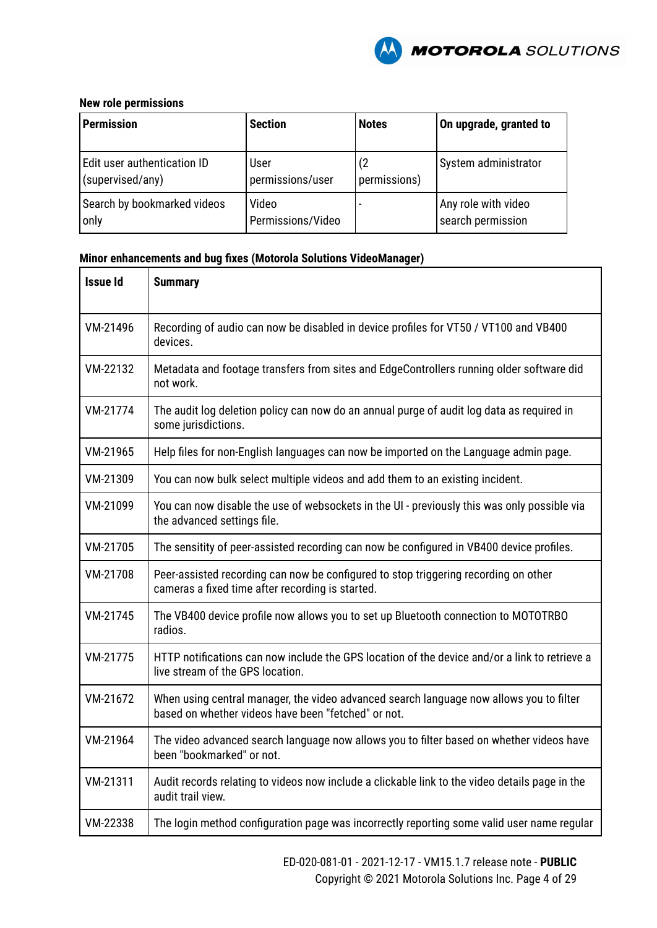

#### **New role permissions**

| <b>Permission</b>           | <b>Section</b>    | <b>Notes</b> | On upgrade, granted to |
|-----------------------------|-------------------|--------------|------------------------|
| Edit user authentication ID | User              | (2           | System administrator   |
| (supervised/any)            | permissions/user  | permissions) |                        |
| Search by bookmarked videos | Video             |              | Any role with video    |
| only                        | Permissions/Video |              | search permission      |

| <b>Issue Id</b> | <b>Summary</b>                                                                                                                                 |
|-----------------|------------------------------------------------------------------------------------------------------------------------------------------------|
| VM-21496        | Recording of audio can now be disabled in device profiles for VT50 / VT100 and VB400<br>devices.                                               |
| VM-22132        | Metadata and footage transfers from sites and EdgeControllers running older software did<br>not work.                                          |
| VM-21774        | The audit log deletion policy can now do an annual purge of audit log data as required in<br>some jurisdictions.                               |
| VM-21965        | Help files for non-English languages can now be imported on the Language admin page.                                                           |
| VM-21309        | You can now bulk select multiple videos and add them to an existing incident.                                                                  |
| VM-21099        | You can now disable the use of websockets in the UI - previously this was only possible via<br>the advanced settings file.                     |
| VM-21705        | The sensitity of peer-assisted recording can now be configured in VB400 device profiles.                                                       |
| VM-21708        | Peer-assisted recording can now be configured to stop triggering recording on other<br>cameras a fixed time after recording is started.        |
| VM-21745        | The VB400 device profile now allows you to set up Bluetooth connection to MOTOTRBO<br>radios.                                                  |
| VM-21775        | HTTP notifications can now include the GPS location of the device and/or a link to retrieve a<br>live stream of the GPS location.              |
| VM-21672        | When using central manager, the video advanced search language now allows you to filter<br>based on whether videos have been "fetched" or not. |
| VM-21964        | The video advanced search language now allows you to filter based on whether videos have<br>been "bookmarked" or not.                          |
| VM-21311        | Audit records relating to videos now include a clickable link to the video details page in the<br>audit trail view.                            |
| VM-22338        | The login method configuration page was incorrectly reporting some valid user name regular                                                     |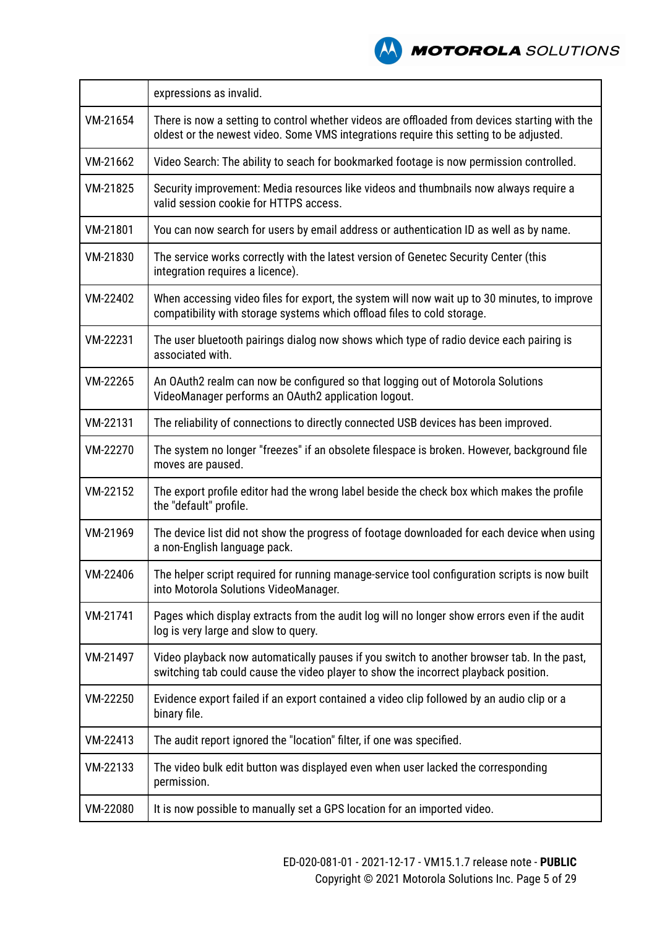

|          | expressions as invalid.                                                                                                                                                                 |
|----------|-----------------------------------------------------------------------------------------------------------------------------------------------------------------------------------------|
| VM-21654 | There is now a setting to control whether videos are offloaded from devices starting with the<br>oldest or the newest video. Some VMS integrations require this setting to be adjusted. |
| VM-21662 | Video Search: The ability to seach for bookmarked footage is now permission controlled.                                                                                                 |
| VM-21825 | Security improvement: Media resources like videos and thumbnails now always require a<br>valid session cookie for HTTPS access.                                                         |
| VM-21801 | You can now search for users by email address or authentication ID as well as by name.                                                                                                  |
| VM-21830 | The service works correctly with the latest version of Genetec Security Center (this<br>integration requires a licence).                                                                |
| VM-22402 | When accessing video files for export, the system will now wait up to 30 minutes, to improve<br>compatibility with storage systems which offload files to cold storage.                 |
| VM-22231 | The user bluetooth pairings dialog now shows which type of radio device each pairing is<br>associated with.                                                                             |
| VM-22265 | An OAuth2 realm can now be configured so that logging out of Motorola Solutions<br>VideoManager performs an OAuth2 application logout.                                                  |
| VM-22131 | The reliability of connections to directly connected USB devices has been improved.                                                                                                     |
| VM-22270 | The system no longer "freezes" if an obsolete filespace is broken. However, background file<br>moves are paused.                                                                        |
| VM-22152 | The export profile editor had the wrong label beside the check box which makes the profile<br>the "default" profile.                                                                    |
| VM-21969 | The device list did not show the progress of footage downloaded for each device when using<br>a non-English language pack.                                                              |
| VM-22406 | The helper script required for running manage-service tool configuration scripts is now built<br>into Motorola Solutions VideoManager.                                                  |
| VM-21741 | Pages which display extracts from the audit log will no longer show errors even if the audit<br>log is very large and slow to query.                                                    |
| VM-21497 | Video playback now automatically pauses if you switch to another browser tab. In the past,<br>switching tab could cause the video player to show the incorrect playback position.       |
| VM-22250 | Evidence export failed if an export contained a video clip followed by an audio clip or a<br>binary file.                                                                               |
| VM-22413 | The audit report ignored the "location" filter, if one was specified.                                                                                                                   |
| VM-22133 | The video bulk edit button was displayed even when user lacked the corresponding<br>permission.                                                                                         |
| VM-22080 | It is now possible to manually set a GPS location for an imported video.                                                                                                                |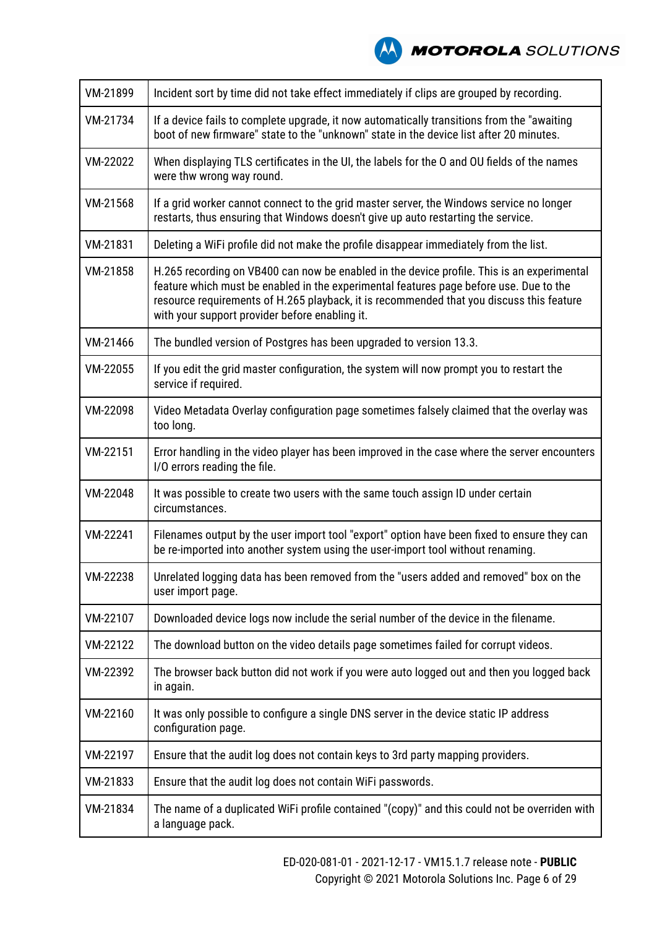

| VM-21899 | Incident sort by time did not take effect immediately if clips are grouped by recording.                                                                                                                                                                                                                                           |
|----------|------------------------------------------------------------------------------------------------------------------------------------------------------------------------------------------------------------------------------------------------------------------------------------------------------------------------------------|
| VM-21734 | If a device fails to complete upgrade, it now automatically transitions from the "awaiting<br>boot of new firmware" state to the "unknown" state in the device list after 20 minutes.                                                                                                                                              |
| VM-22022 | When displaying TLS certificates in the UI, the labels for the O and OU fields of the names<br>were thw wrong way round.                                                                                                                                                                                                           |
| VM-21568 | If a grid worker cannot connect to the grid master server, the Windows service no longer<br>restarts, thus ensuring that Windows doesn't give up auto restarting the service.                                                                                                                                                      |
| VM-21831 | Deleting a WiFi profile did not make the profile disappear immediately from the list.                                                                                                                                                                                                                                              |
| VM-21858 | H.265 recording on VB400 can now be enabled in the device profile. This is an experimental<br>feature which must be enabled in the experimental features page before use. Due to the<br>resource requirements of H.265 playback, it is recommended that you discuss this feature<br>with your support provider before enabling it. |
| VM-21466 | The bundled version of Postgres has been upgraded to version 13.3.                                                                                                                                                                                                                                                                 |
| VM-22055 | If you edit the grid master configuration, the system will now prompt you to restart the<br>service if required.                                                                                                                                                                                                                   |
| VM-22098 | Video Metadata Overlay configuration page sometimes falsely claimed that the overlay was<br>too long.                                                                                                                                                                                                                              |
| VM-22151 | Error handling in the video player has been improved in the case where the server encounters<br>I/O errors reading the file.                                                                                                                                                                                                       |
| VM-22048 | It was possible to create two users with the same touch assign ID under certain<br>circumstances.                                                                                                                                                                                                                                  |
| VM-22241 | Filenames output by the user import tool "export" option have been fixed to ensure they can<br>be re-imported into another system using the user-import tool without renaming.                                                                                                                                                     |
| VM-22238 | Unrelated logging data has been removed from the "users added and removed" box on the<br>user import page.                                                                                                                                                                                                                         |
| VM-22107 | Downloaded device logs now include the serial number of the device in the filename.                                                                                                                                                                                                                                                |
| VM-22122 | The download button on the video details page sometimes failed for corrupt videos.                                                                                                                                                                                                                                                 |
| VM-22392 | The browser back button did not work if you were auto logged out and then you logged back<br>in again.                                                                                                                                                                                                                             |
| VM-22160 | It was only possible to configure a single DNS server in the device static IP address<br>configuration page.                                                                                                                                                                                                                       |
| VM-22197 | Ensure that the audit log does not contain keys to 3rd party mapping providers.                                                                                                                                                                                                                                                    |
| VM-21833 | Ensure that the audit log does not contain WiFi passwords.                                                                                                                                                                                                                                                                         |
| VM-21834 | The name of a duplicated WiFi profile contained "(copy)" and this could not be overriden with<br>a language pack.                                                                                                                                                                                                                  |
|          |                                                                                                                                                                                                                                                                                                                                    |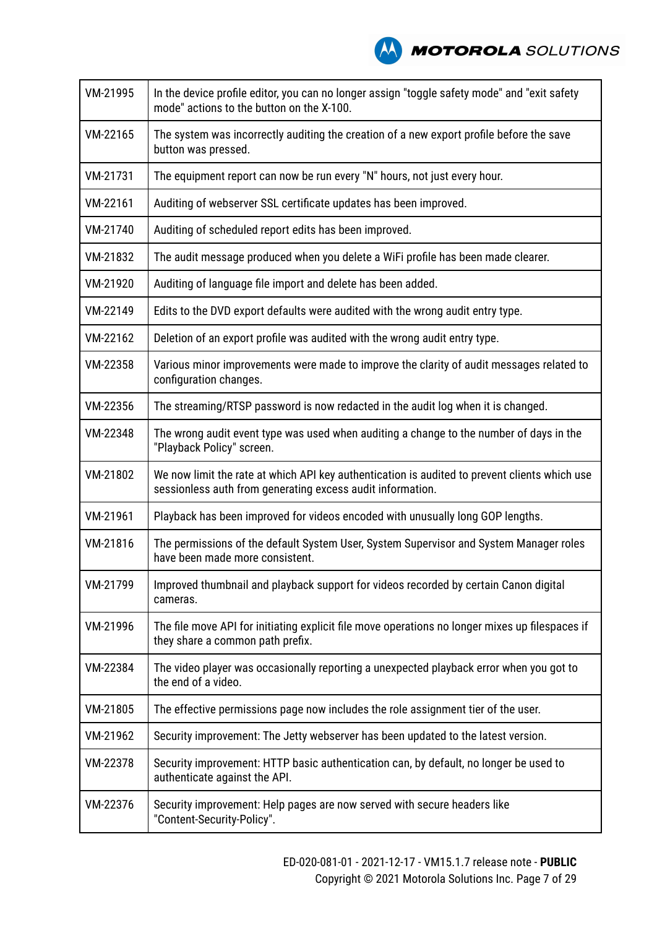

| VM-21995 | In the device profile editor, you can no longer assign "toggle safety mode" and "exit safety<br>mode" actions to the button on the X-100.                   |
|----------|-------------------------------------------------------------------------------------------------------------------------------------------------------------|
| VM-22165 | The system was incorrectly auditing the creation of a new export profile before the save<br>button was pressed.                                             |
| VM-21731 | The equipment report can now be run every "N" hours, not just every hour.                                                                                   |
| VM-22161 | Auditing of webserver SSL certificate updates has been improved.                                                                                            |
| VM-21740 | Auditing of scheduled report edits has been improved.                                                                                                       |
| VM-21832 | The audit message produced when you delete a WiFi profile has been made clearer.                                                                            |
| VM-21920 | Auditing of language file import and delete has been added.                                                                                                 |
| VM-22149 | Edits to the DVD export defaults were audited with the wrong audit entry type.                                                                              |
| VM-22162 | Deletion of an export profile was audited with the wrong audit entry type.                                                                                  |
| VM-22358 | Various minor improvements were made to improve the clarity of audit messages related to<br>configuration changes.                                          |
| VM-22356 | The streaming/RTSP password is now redacted in the audit log when it is changed.                                                                            |
| VM-22348 | The wrong audit event type was used when auditing a change to the number of days in the<br>"Playback Policy" screen.                                        |
| VM-21802 | We now limit the rate at which API key authentication is audited to prevent clients which use<br>sessionless auth from generating excess audit information. |
| VM-21961 | Playback has been improved for videos encoded with unusually long GOP lengths.                                                                              |
| VM-21816 | The permissions of the default System User, System Supervisor and System Manager roles<br>have been made more consistent.                                   |
| VM-21799 | Improved thumbnail and playback support for videos recorded by certain Canon digital<br>cameras.                                                            |
| VM-21996 | The file move API for initiating explicit file move operations no longer mixes up filespaces if<br>they share a common path prefix.                         |
| VM-22384 | The video player was occasionally reporting a unexpected playback error when you got to<br>the end of a video.                                              |
| VM-21805 | The effective permissions page now includes the role assignment tier of the user.                                                                           |
| VM-21962 | Security improvement: The Jetty webserver has been updated to the latest version.                                                                           |
| VM-22378 | Security improvement: HTTP basic authentication can, by default, no longer be used to<br>authenticate against the API.                                      |
| VM-22376 | Security improvement: Help pages are now served with secure headers like<br>"Content-Security-Policy".                                                      |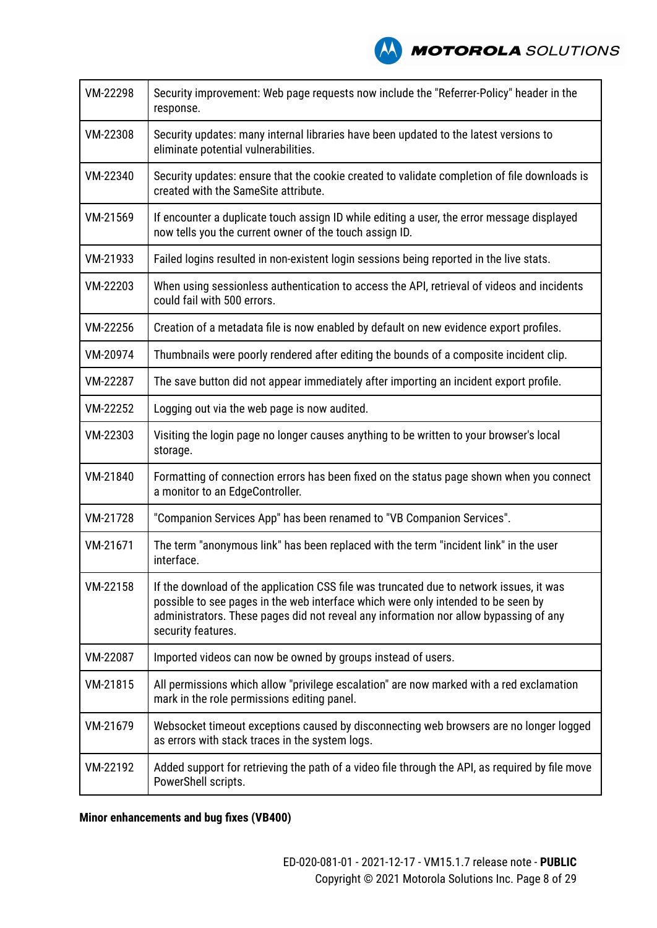

| VM-22298 | Security improvement: Web page requests now include the "Referrer-Policy" header in the<br>response.                                                                                                                                                                                        |
|----------|---------------------------------------------------------------------------------------------------------------------------------------------------------------------------------------------------------------------------------------------------------------------------------------------|
| VM-22308 | Security updates: many internal libraries have been updated to the latest versions to<br>eliminate potential vulnerabilities.                                                                                                                                                               |
| VM-22340 | Security updates: ensure that the cookie created to validate completion of file downloads is<br>created with the SameSite attribute.                                                                                                                                                        |
| VM-21569 | If encounter a duplicate touch assign ID while editing a user, the error message displayed<br>now tells you the current owner of the touch assign ID.                                                                                                                                       |
| VM-21933 | Failed logins resulted in non-existent login sessions being reported in the live stats.                                                                                                                                                                                                     |
| VM-22203 | When using sessionless authentication to access the API, retrieval of videos and incidents<br>could fail with 500 errors.                                                                                                                                                                   |
| VM-22256 | Creation of a metadata file is now enabled by default on new evidence export profiles.                                                                                                                                                                                                      |
| VM-20974 | Thumbnails were poorly rendered after editing the bounds of a composite incident clip.                                                                                                                                                                                                      |
| VM-22287 | The save button did not appear immediately after importing an incident export profile.                                                                                                                                                                                                      |
| VM-22252 | Logging out via the web page is now audited.                                                                                                                                                                                                                                                |
| VM-22303 | Visiting the login page no longer causes anything to be written to your browser's local<br>storage.                                                                                                                                                                                         |
| VM-21840 | Formatting of connection errors has been fixed on the status page shown when you connect<br>a monitor to an EdgeController.                                                                                                                                                                 |
| VM-21728 | "Companion Services App" has been renamed to "VB Companion Services".                                                                                                                                                                                                                       |
| VM-21671 | The term "anonymous link" has been replaced with the term "incident link" in the user<br>interface.                                                                                                                                                                                         |
| VM-22158 | If the download of the application CSS file was truncated due to network issues, it was<br>possible to see pages in the web interface which were only intended to be seen by<br>administrators. These pages did not reveal any information nor allow bypassing of any<br>security features. |
| VM-22087 | Imported videos can now be owned by groups instead of users.                                                                                                                                                                                                                                |
| VM-21815 | All permissions which allow "privilege escalation" are now marked with a red exclamation<br>mark in the role permissions editing panel.                                                                                                                                                     |
| VM-21679 | Websocket timeout exceptions caused by disconnecting web browsers are no longer logged<br>as errors with stack traces in the system logs.                                                                                                                                                   |
| VM-22192 | Added support for retrieving the path of a video file through the API, as required by file move<br>PowerShell scripts.                                                                                                                                                                      |

**Minor enhancements and bug fixes (VB400)**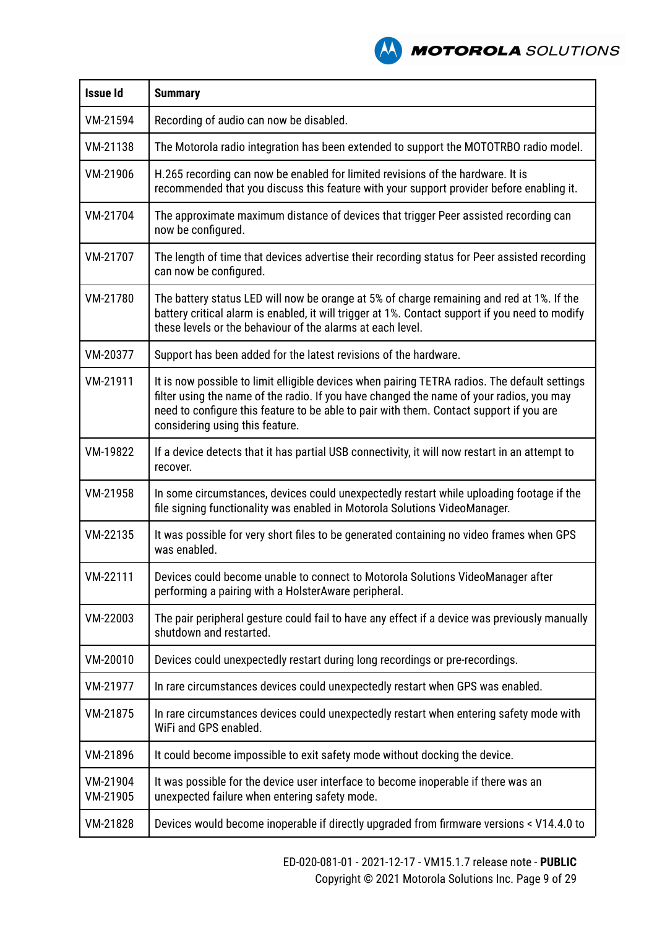**A MOTOROLA** SOLUTIONS

| <b>Issue Id</b>      | <b>Summary</b>                                                                                                                                                                                                                                                                                                          |
|----------------------|-------------------------------------------------------------------------------------------------------------------------------------------------------------------------------------------------------------------------------------------------------------------------------------------------------------------------|
| VM-21594             | Recording of audio can now be disabled.                                                                                                                                                                                                                                                                                 |
| VM-21138             | The Motorola radio integration has been extended to support the MOTOTRBO radio model.                                                                                                                                                                                                                                   |
| VM-21906             | H.265 recording can now be enabled for limited revisions of the hardware. It is<br>recommended that you discuss this feature with your support provider before enabling it.                                                                                                                                             |
| VM-21704             | The approximate maximum distance of devices that trigger Peer assisted recording can<br>now be configured.                                                                                                                                                                                                              |
| VM-21707             | The length of time that devices advertise their recording status for Peer assisted recording<br>can now be configured.                                                                                                                                                                                                  |
| VM-21780             | The battery status LED will now be orange at 5% of charge remaining and red at 1%. If the<br>battery critical alarm is enabled, it will trigger at 1%. Contact support if you need to modify<br>these levels or the behaviour of the alarms at each level.                                                              |
| VM-20377             | Support has been added for the latest revisions of the hardware.                                                                                                                                                                                                                                                        |
| VM-21911             | It is now possible to limit elligible devices when pairing TETRA radios. The default settings<br>filter using the name of the radio. If you have changed the name of your radios, you may<br>need to configure this feature to be able to pair with them. Contact support if you are<br>considering using this feature. |
| VM-19822             | If a device detects that it has partial USB connectivity, it will now restart in an attempt to<br>recover.                                                                                                                                                                                                              |
| VM-21958             | In some circumstances, devices could unexpectedly restart while uploading footage if the<br>file signing functionality was enabled in Motorola Solutions VideoManager.                                                                                                                                                  |
| VM-22135             | It was possible for very short files to be generated containing no video frames when GPS<br>was enabled.                                                                                                                                                                                                                |
| VM-22111             | Devices could become unable to connect to Motorola Solutions VideoManager after<br>performing a pairing with a HolsterAware peripheral.                                                                                                                                                                                 |
| VM-22003             | The pair peripheral gesture could fail to have any effect if a device was previously manually<br>shutdown and restarted.                                                                                                                                                                                                |
| VM-20010             | Devices could unexpectedly restart during long recordings or pre-recordings.                                                                                                                                                                                                                                            |
| VM-21977             | In rare circumstances devices could unexpectedly restart when GPS was enabled.                                                                                                                                                                                                                                          |
| VM-21875             | In rare circumstances devices could unexpectedly restart when entering safety mode with<br>WiFi and GPS enabled.                                                                                                                                                                                                        |
| VM-21896             | It could become impossible to exit safety mode without docking the device.                                                                                                                                                                                                                                              |
| VM-21904<br>VM-21905 | It was possible for the device user interface to become inoperable if there was an<br>unexpected failure when entering safety mode.                                                                                                                                                                                     |
| VM-21828             | Devices would become inoperable if directly upgraded from firmware versions < V14.4.0 to                                                                                                                                                                                                                                |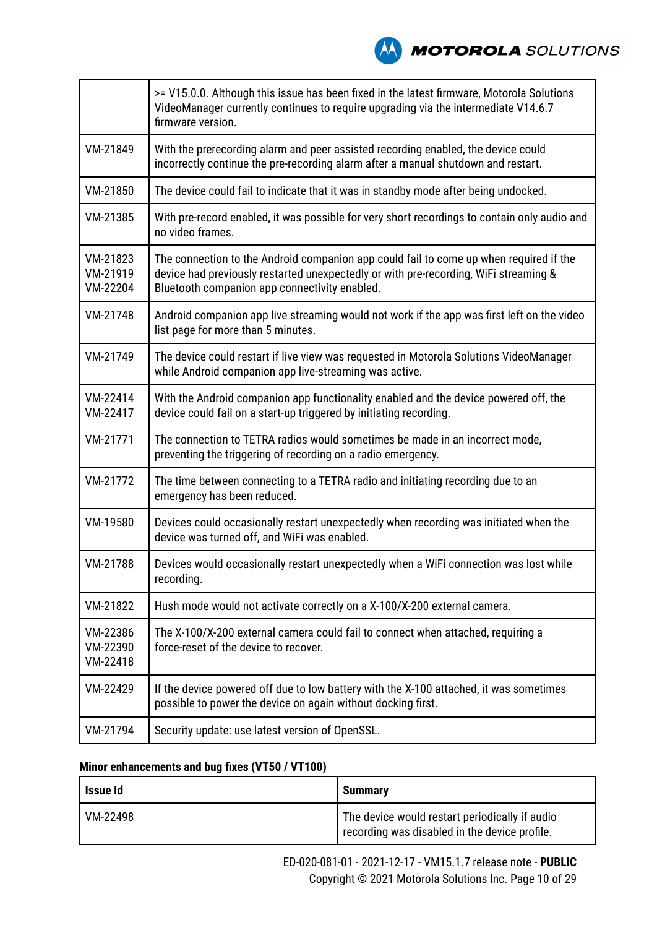**NOTOROLA** SOLUTIONS

|                                  | >= V15.0.0. Although this issue has been fixed in the latest firmware, Motorola Solutions<br>VideoManager currently continues to require upgrading via the intermediate V14.6.7<br>firmware version.                            |
|----------------------------------|---------------------------------------------------------------------------------------------------------------------------------------------------------------------------------------------------------------------------------|
| VM-21849                         | With the prerecording alarm and peer assisted recording enabled, the device could<br>incorrectly continue the pre-recording alarm after a manual shutdown and restart.                                                          |
| VM-21850                         | The device could fail to indicate that it was in standby mode after being undocked.                                                                                                                                             |
| VM-21385                         | With pre-record enabled, it was possible for very short recordings to contain only audio and<br>no video frames.                                                                                                                |
| VM-21823<br>VM-21919<br>VM-22204 | The connection to the Android companion app could fail to come up when required if the<br>device had previously restarted unexpectedly or with pre-recording, WiFi streaming &<br>Bluetooth companion app connectivity enabled. |
| VM-21748                         | Android companion app live streaming would not work if the app was first left on the video<br>list page for more than 5 minutes.                                                                                                |
| VM-21749                         | The device could restart if live view was requested in Motorola Solutions VideoManager<br>while Android companion app live-streaming was active.                                                                                |
| VM-22414<br>VM-22417             | With the Android companion app functionality enabled and the device powered off, the<br>device could fail on a start-up triggered by initiating recording.                                                                      |
| VM-21771                         | The connection to TETRA radios would sometimes be made in an incorrect mode,<br>preventing the triggering of recording on a radio emergency.                                                                                    |
| VM-21772                         | The time between connecting to a TETRA radio and initiating recording due to an<br>emergency has been reduced.                                                                                                                  |
| VM-19580                         | Devices could occasionally restart unexpectedly when recording was initiated when the<br>device was turned off, and WiFi was enabled.                                                                                           |
| VM-21788                         | Devices would occasionally restart unexpectedly when a WiFi connection was lost while<br>recording.                                                                                                                             |
| VM-21822                         | Hush mode would not activate correctly on a X-100/X-200 external camera.                                                                                                                                                        |
| VM-22386<br>VM-22390<br>VM-22418 | The X-100/X-200 external camera could fail to connect when attached, requiring a<br>force-reset of the device to recover.                                                                                                       |
| VM-22429                         | If the device powered off due to low battery with the X-100 attached, it was sometimes<br>possible to power the device on again without docking first.                                                                          |
| VM-21794                         | Security update: use latest version of OpenSSL.                                                                                                                                                                                 |

### **Minor enhancements and bug fixes (VT50 / VT100)**

| Issue Id | <b>Summary</b>                                                                                  |
|----------|-------------------------------------------------------------------------------------------------|
| VM-22498 | The device would restart periodically if audio<br>recording was disabled in the device profile. |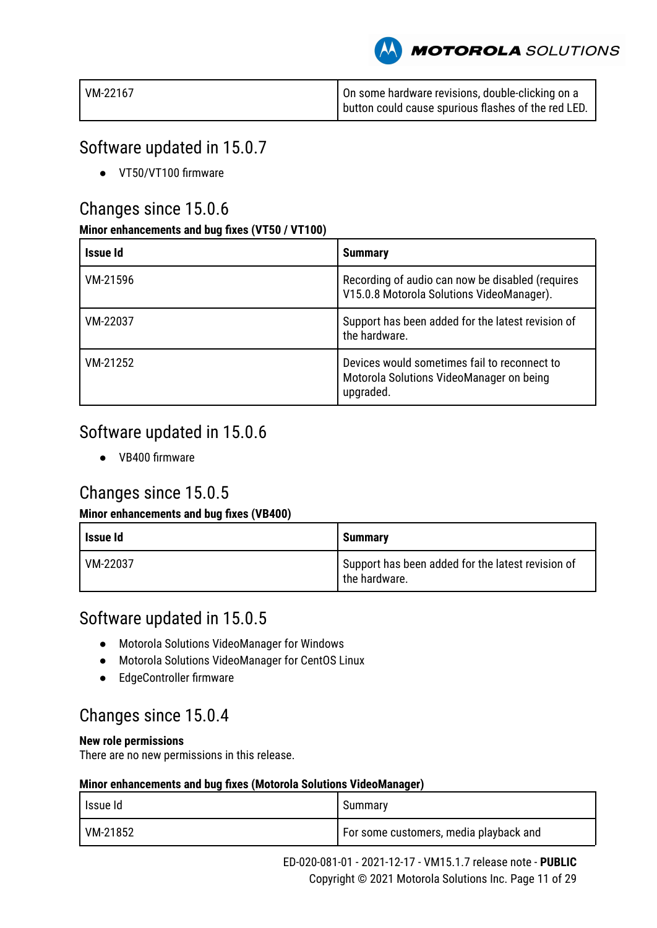**MOTOROLA** SOLUTIONS

| VM-22167 | On some hardware revisions, double-clicking on a      |
|----------|-------------------------------------------------------|
|          | I button could cause spurious flashes of the red LED. |

### Software updated in 15.0.7

● VT50/VT100 firmware

### Changes since 15.0.6

### **Minor enhancements and bug fixes (VT50 / VT100)**

| Issue Id | <b>Summary</b>                                                                                        |
|----------|-------------------------------------------------------------------------------------------------------|
| VM-21596 | Recording of audio can now be disabled (requires<br>V15.0.8 Motorola Solutions VideoManager).         |
| VM-22037 | Support has been added for the latest revision of<br>the hardware.                                    |
| VM-21252 | Devices would sometimes fail to reconnect to<br>Motorola Solutions VideoManager on being<br>upgraded. |

### Software updated in 15.0.6

● VB400 firmware

## Changes since 15.0.5

### **Minor enhancements and bug fixes (VB400)**

| Issue Id | <b>Summary</b>                                                     |
|----------|--------------------------------------------------------------------|
| VM-22037 | Support has been added for the latest revision of<br>the hardware. |

### Software updated in 15.0.5

- Motorola Solutions VideoManager for Windows
- Motorola Solutions VideoManager for CentOS Linux
- EdgeController firmware

### Changes since 15.0.4

### **New role permissions**

There are no new permissions in this release.

| l Issue Id | Summary                                  |
|------------|------------------------------------------|
| VM-21852   | I For some customers, media playback and |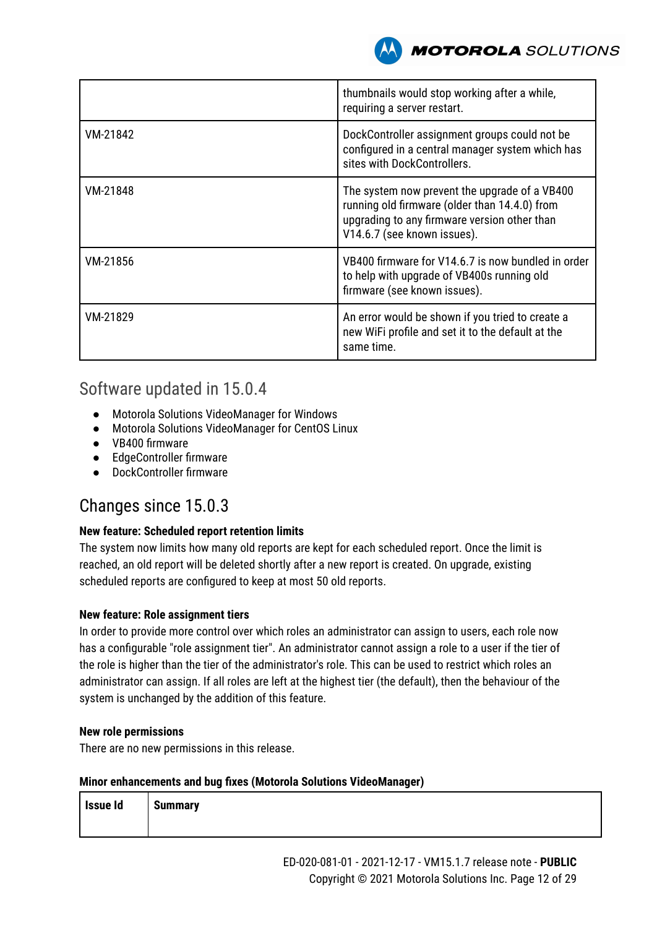

|          | thumbnails would stop working after a while,<br>requiring a server restart.                                                                                                   |
|----------|-------------------------------------------------------------------------------------------------------------------------------------------------------------------------------|
| VM-21842 | DockController assignment groups could not be<br>configured in a central manager system which has<br>sites with DockControllers.                                              |
| VM-21848 | The system now prevent the upgrade of a VB400<br>running old firmware (older than 14.4.0) from<br>upgrading to any firmware version other than<br>V14.6.7 (see known issues). |
| VM-21856 | VB400 firmware for V14.6.7 is now bundled in order<br>to help with upgrade of VB400s running old<br>firmware (see known issues).                                              |
| VM-21829 | An error would be shown if you tried to create a<br>new WiFi profile and set it to the default at the<br>same time.                                                           |

### Software updated in 15.0.4

- Motorola Solutions VideoManager for Windows
- Motorola Solutions VideoManager for CentOS Linux
- VB400 firmware
- EdgeController firmware
- DockController firmware

### Changes since 15.0.3

### **New feature: Scheduled report retention limits**

The system now limits how many old reports are kept for each scheduled report. Once the limit is reached, an old report will be deleted shortly after a new report is created. On upgrade, existing scheduled reports are configured to keep at most 50 old reports.

### **New feature: Role assignment tiers**

In order to provide more control over which roles an administrator can assign to users, each role now has a configurable "role assignment tier". An administrator cannot assign a role to a user if the tier of the role is higher than the tier of the administrator's role. This can be used to restrict which roles an administrator can assign. If all roles are left at the highest tier (the default), then the behaviour of the system is unchanged by the addition of this feature.

### **New role permissions**

There are no new permissions in this release.

| Issue Id | <b>Summary</b> |
|----------|----------------|
|          |                |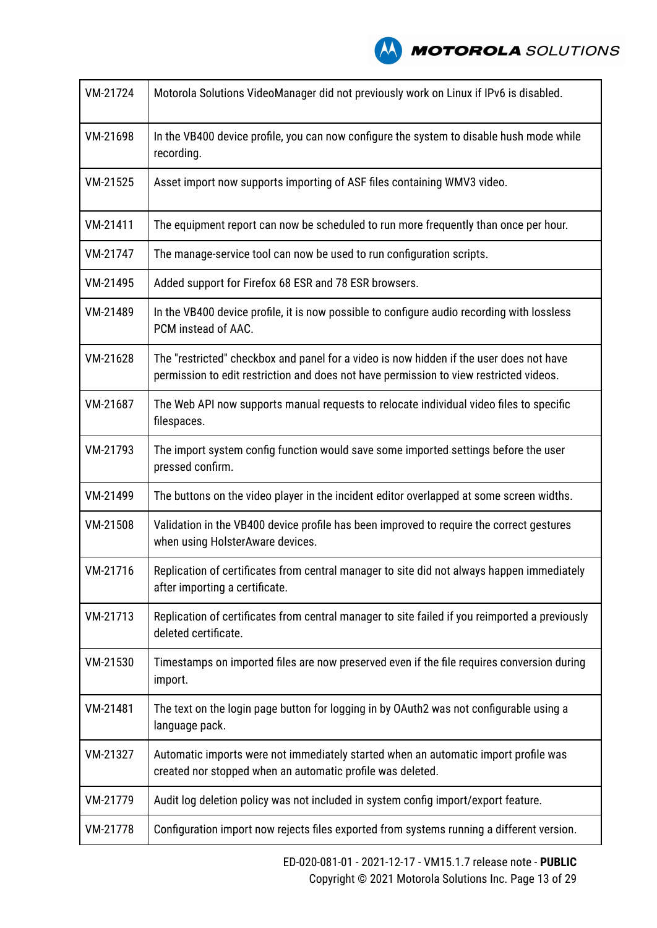| VM-21724 | Motorola Solutions VideoManager did not previously work on Linux if IPv6 is disabled.                                                                                             |
|----------|-----------------------------------------------------------------------------------------------------------------------------------------------------------------------------------|
| VM-21698 | In the VB400 device profile, you can now configure the system to disable hush mode while<br>recording.                                                                            |
| VM-21525 | Asset import now supports importing of ASF files containing WMV3 video.                                                                                                           |
| VM-21411 | The equipment report can now be scheduled to run more frequently than once per hour.                                                                                              |
| VM-21747 | The manage-service tool can now be used to run configuration scripts.                                                                                                             |
| VM-21495 | Added support for Firefox 68 ESR and 78 ESR browsers.                                                                                                                             |
| VM-21489 | In the VB400 device profile, it is now possible to configure audio recording with lossless<br>PCM instead of AAC.                                                                 |
| VM-21628 | The "restricted" checkbox and panel for a video is now hidden if the user does not have<br>permission to edit restriction and does not have permission to view restricted videos. |
| VM-21687 | The Web API now supports manual requests to relocate individual video files to specific<br>filespaces.                                                                            |
| VM-21793 | The import system config function would save some imported settings before the user<br>pressed confirm.                                                                           |
| VM-21499 | The buttons on the video player in the incident editor overlapped at some screen widths.                                                                                          |
| VM-21508 | Validation in the VB400 device profile has been improved to require the correct gestures<br>when using HolsterAware devices.                                                      |
| VM-21716 | Replication of certificates from central manager to site did not always happen immediately<br>after importing a certificate.                                                      |
| VM-21713 | Replication of certificates from central manager to site failed if you reimported a previously<br>deleted certificate.                                                            |
| VM-21530 | Timestamps on imported files are now preserved even if the file requires conversion during<br>import.                                                                             |
| VM-21481 | The text on the login page button for logging in by OAuth2 was not configurable using a<br>language pack.                                                                         |
| VM-21327 | Automatic imports were not immediately started when an automatic import profile was<br>created nor stopped when an automatic profile was deleted.                                 |
| VM-21779 | Audit log deletion policy was not included in system config import/export feature.                                                                                                |
| VM-21778 | Configuration import now rejects files exported from systems running a different version.                                                                                         |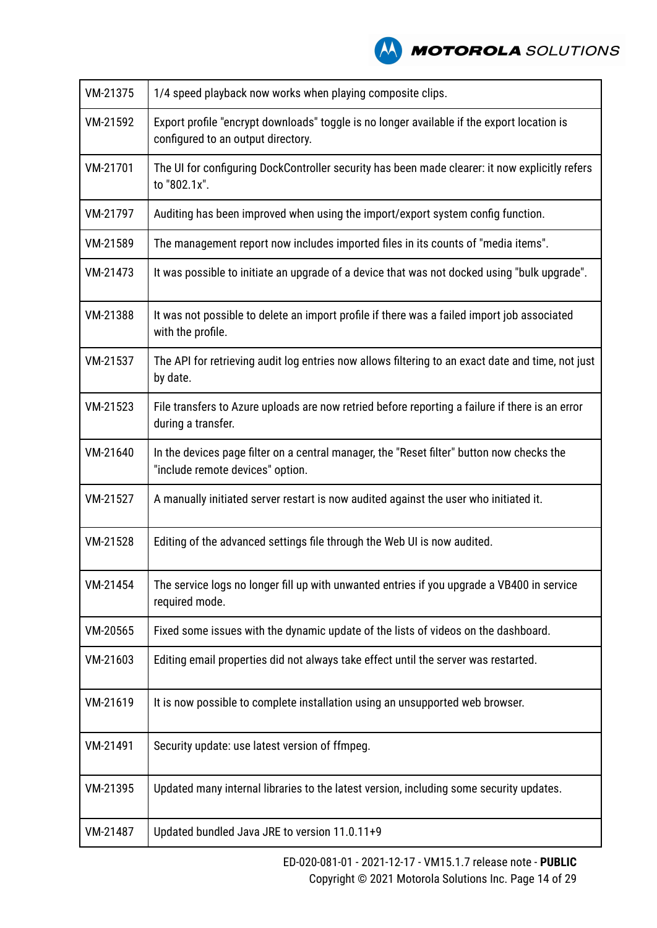

| VM-21375 | 1/4 speed playback now works when playing composite clips.                                                                       |
|----------|----------------------------------------------------------------------------------------------------------------------------------|
| VM-21592 | Export profile "encrypt downloads" toggle is no longer available if the export location is<br>configured to an output directory. |
| VM-21701 | The UI for configuring DockController security has been made clearer: it now explicitly refers<br>to "802.1x".                   |
| VM-21797 | Auditing has been improved when using the import/export system config function.                                                  |
| VM-21589 | The management report now includes imported files in its counts of "media items".                                                |
| VM-21473 | It was possible to initiate an upgrade of a device that was not docked using "bulk upgrade".                                     |
| VM-21388 | It was not possible to delete an import profile if there was a failed import job associated<br>with the profile.                 |
| VM-21537 | The API for retrieving audit log entries now allows filtering to an exact date and time, not just<br>by date.                    |
| VM-21523 | File transfers to Azure uploads are now retried before reporting a failure if there is an error<br>during a transfer.            |
| VM-21640 | In the devices page filter on a central manager, the "Reset filter" button now checks the<br>"include remote devices" option.    |
| VM-21527 | A manually initiated server restart is now audited against the user who initiated it.                                            |
| VM-21528 | Editing of the advanced settings file through the Web UI is now audited.                                                         |
| VM-21454 | The service logs no longer fill up with unwanted entries if you upgrade a VB400 in service<br>required mode.                     |
| VM-20565 | Fixed some issues with the dynamic update of the lists of videos on the dashboard.                                               |
| VM-21603 | Editing email properties did not always take effect until the server was restarted.                                              |
| VM-21619 | It is now possible to complete installation using an unsupported web browser.                                                    |
| VM-21491 | Security update: use latest version of ffmpeg.                                                                                   |
| VM-21395 | Updated many internal libraries to the latest version, including some security updates.                                          |
| VM-21487 | Updated bundled Java JRE to version 11.0.11+9                                                                                    |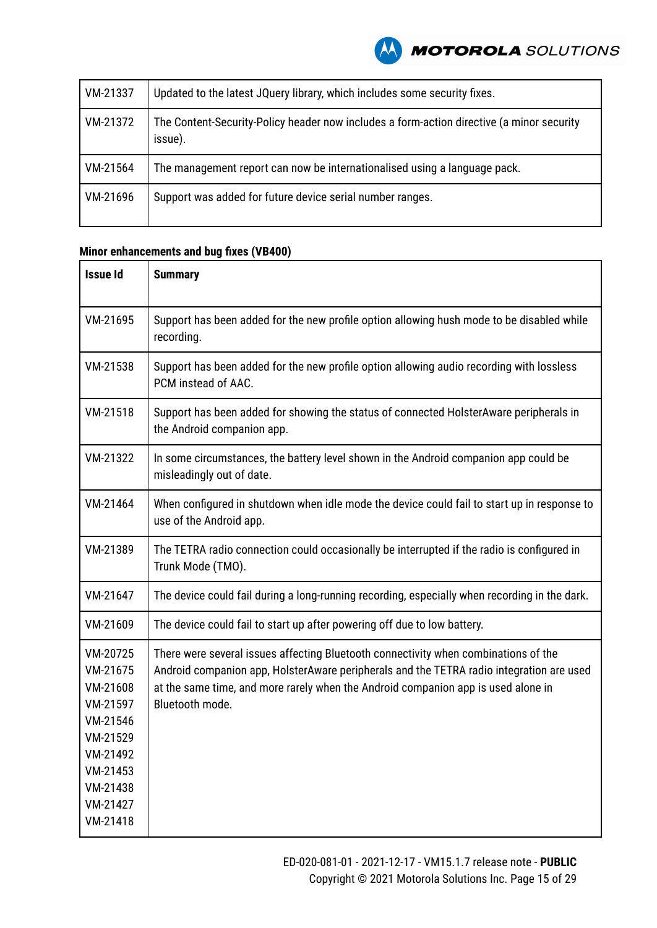| VM-21337 | Updated to the latest JQuery library, which includes some security fixes.                            |
|----------|------------------------------------------------------------------------------------------------------|
| VM-21372 | The Content-Security-Policy header now includes a form-action directive (a minor security<br>issue). |
| VM-21564 | The management report can now be internationalised using a language pack.                            |
| VM-21696 | Support was added for future device serial number ranges.                                            |

### **Minor enhancements and bug fixes (VB400)**

| <b>Issue Id</b>                                                                                                                  | <b>Summary</b>                                                                                                                                                                                                                                                                          |
|----------------------------------------------------------------------------------------------------------------------------------|-----------------------------------------------------------------------------------------------------------------------------------------------------------------------------------------------------------------------------------------------------------------------------------------|
| VM-21695                                                                                                                         | Support has been added for the new profile option allowing hush mode to be disabled while<br>recording.                                                                                                                                                                                 |
| VM-21538                                                                                                                         | Support has been added for the new profile option allowing audio recording with lossless<br>PCM instead of AAC.                                                                                                                                                                         |
| VM-21518                                                                                                                         | Support has been added for showing the status of connected HolsterAware peripherals in<br>the Android companion app.                                                                                                                                                                    |
| VM-21322                                                                                                                         | In some circumstances, the battery level shown in the Android companion app could be<br>misleadingly out of date.                                                                                                                                                                       |
| VM-21464                                                                                                                         | When configured in shutdown when idle mode the device could fail to start up in response to<br>use of the Android app.                                                                                                                                                                  |
| VM-21389                                                                                                                         | The TETRA radio connection could occasionally be interrupted if the radio is configured in<br>Trunk Mode (TMO).                                                                                                                                                                         |
| VM-21647                                                                                                                         | The device could fail during a long-running recording, especially when recording in the dark.                                                                                                                                                                                           |
| VM-21609                                                                                                                         | The device could fail to start up after powering off due to low battery.                                                                                                                                                                                                                |
| VM-20725<br>VM-21675<br>VM-21608<br>VM-21597<br>VM-21546<br>VM-21529<br>VM-21492<br>VM-21453<br>VM-21438<br>VM-21427<br>VM-21418 | There were several issues affecting Bluetooth connectivity when combinations of the<br>Android companion app, HolsterAware peripherals and the TETRA radio integration are used<br>at the same time, and more rarely when the Android companion app is used alone in<br>Bluetooth mode. |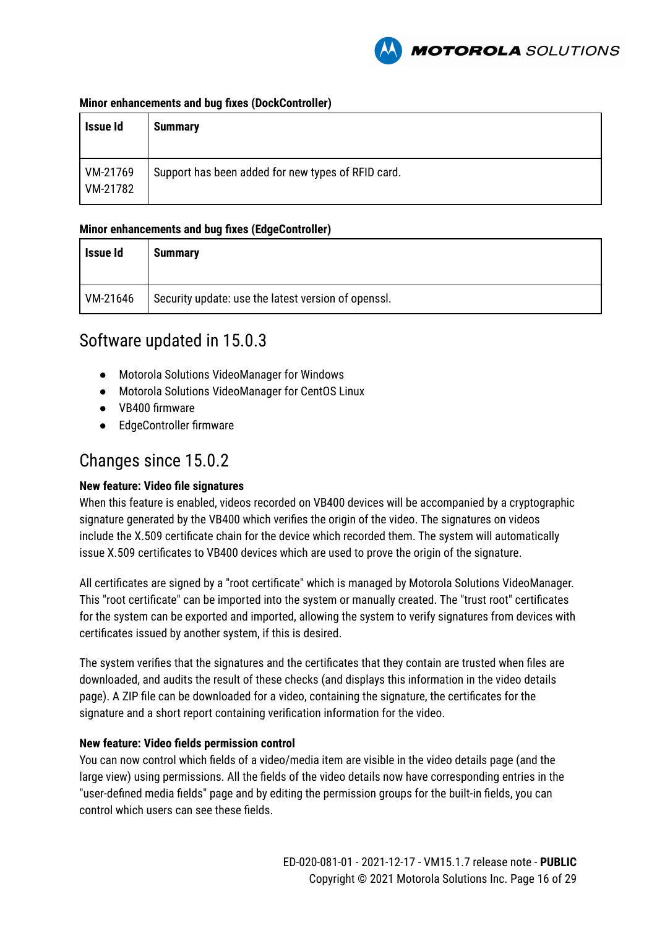

#### **Minor enhancements and bug fixes (DockController)**

| Issue Id             | <b>Summary</b>                                     |
|----------------------|----------------------------------------------------|
| VM-21769<br>VM-21782 | Support has been added for new types of RFID card. |

### **Minor enhancements and bug fixes (EdgeController)**

| Issue Id | <b>Summary</b>                                      |
|----------|-----------------------------------------------------|
| VM-21646 | Security update: use the latest version of openssl. |

### Software updated in 15.0.3

- Motorola Solutions VideoManager for Windows
- Motorola Solutions VideoManager for CentOS Linux
- VB400 firmware
- EdgeController firmware

### Changes since 15.0.2

### **New feature: Video file signatures**

When this feature is enabled, videos recorded on VB400 devices will be accompanied by a cryptographic signature generated by the VB400 which verifies the origin of the video. The signatures on videos include the X.509 certificate chain for the device which recorded them. The system will automatically issue X.509 certificates to VB400 devices which are used to prove the origin of the signature.

All certificates are signed by a "root certificate" which is managed by Motorola Solutions VideoManager. This "root certificate" can be imported into the system or manually created. The "trust root" certificates for the system can be exported and imported, allowing the system to verify signatures from devices with certificates issued by another system, if this is desired.

The system verifies that the signatures and the certificates that they contain are trusted when files are downloaded, and audits the result of these checks (and displays this information in the video details page). A ZIP file can be downloaded for a video, containing the signature, the certificates for the signature and a short report containing verification information for the video.

### **New feature: Video fields permission control**

You can now control which fields of a video/media item are visible in the video details page (and the large view) using permissions. All the fields of the video details now have corresponding entries in the "user-defined media fields" page and by editing the permission groups for the built-in fields, you can control which users can see these fields.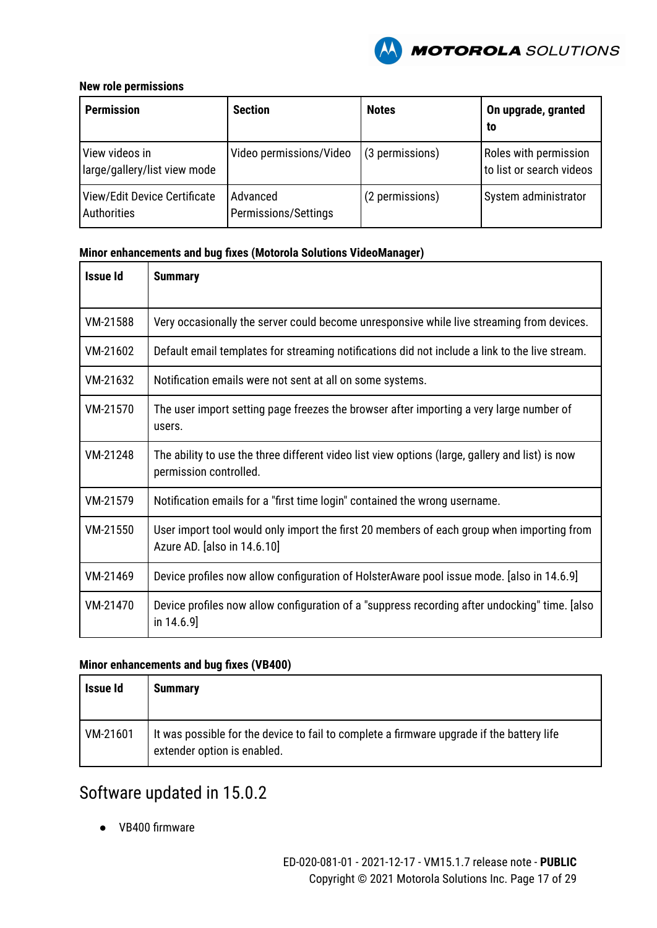

### **New role permissions**

| <b>Permission</b>                              | <b>Section</b>                   | <b>Notes</b>    | On upgrade, granted<br>to                         |
|------------------------------------------------|----------------------------------|-----------------|---------------------------------------------------|
| View videos in<br>large/gallery/list view mode | Video permissions/Video          | (3 permissions) | Roles with permission<br>to list or search videos |
| View/Edit Device Certificate<br>Authorities    | Advanced<br>Permissions/Settings | (2 permissions) | System administrator                              |

### **Minor enhancements and bug fixes (Motorola Solutions VideoManager)**

| <b>Issue Id</b> | <b>Summary</b>                                                                                                            |
|-----------------|---------------------------------------------------------------------------------------------------------------------------|
| VM-21588        | Very occasionally the server could become unresponsive while live streaming from devices.                                 |
| VM-21602        | Default email templates for streaming notifications did not include a link to the live stream.                            |
| VM-21632        | Notification emails were not sent at all on some systems.                                                                 |
| VM-21570        | The user import setting page freezes the browser after importing a very large number of<br>users.                         |
| VM-21248        | The ability to use the three different video list view options (large, gallery and list) is now<br>permission controlled. |
| VM-21579        | Notification emails for a "first time login" contained the wrong username.                                                |
| VM-21550        | User import tool would only import the first 20 members of each group when importing from<br>Azure AD. [also in 14.6.10]  |
| VM-21469        | Device profiles now allow configuration of HolsterAware pool issue mode. [also in 14.6.9]                                 |
| VM-21470        | Device profiles now allow configuration of a "suppress recording after undocking" time. [also<br>in $14.6.9$ ]            |

### **Minor enhancements and bug fixes (VB400)**

| <b>Issue Id</b> | <b>Summary</b>                                                                                                           |
|-----------------|--------------------------------------------------------------------------------------------------------------------------|
| VM-21601        | It was possible for the device to fail to complete a firmware upgrade if the battery life<br>extender option is enabled. |

# Software updated in 15.0.2

● VB400 firmware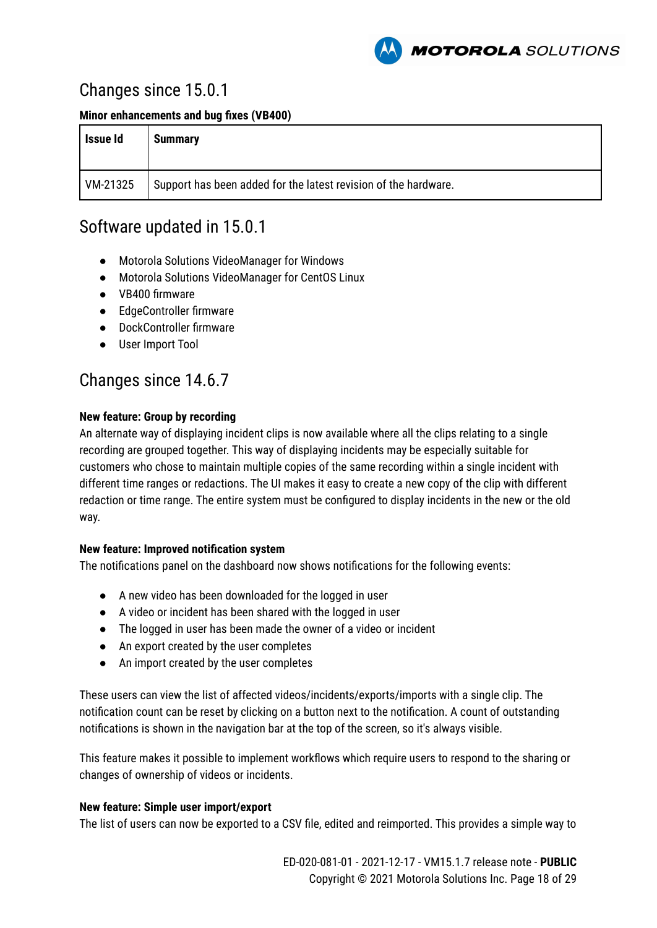

### Changes since 15.0.1

**Minor enhancements and bug fixes (VB400)**

| Issue Id | <b>Summary</b>                                                  |
|----------|-----------------------------------------------------------------|
| VM-21325 | Support has been added for the latest revision of the hardware. |

### Software updated in 15.0.1

- Motorola Solutions VideoManager for Windows
- Motorola Solutions VideoManager for CentOS Linux
- VB400 firmware
- EdgeController firmware
- DockController firmware
- User Import Tool

### Changes since 14.6.7

### **New feature: Group by recording**

An alternate way of displaying incident clips is now available where all the clips relating to a single recording are grouped together. This way of displaying incidents may be especially suitable for customers who chose to maintain multiple copies of the same recording within a single incident with different time ranges or redactions. The UI makes it easy to create a new copy of the clip with different redaction or time range. The entire system must be configured to display incidents in the new or the old way.

### **New feature: Improved notification system**

The notifications panel on the dashboard now shows notifications for the following events:

- A new video has been downloaded for the logged in user
- A video or incident has been shared with the logged in user
- The logged in user has been made the owner of a video or incident
- An export created by the user completes
- An import created by the user completes

These users can view the list of affected videos/incidents/exports/imports with a single clip. The notification count can be reset by clicking on a button next to the notification. A count of outstanding notifications is shown in the navigation bar at the top of the screen, so it's always visible.

This feature makes it possible to implement workflows which require users to respond to the sharing or changes of ownership of videos or incidents.

### **New feature: Simple user import/export**

The list of users can now be exported to a CSV file, edited and reimported. This provides a simple way to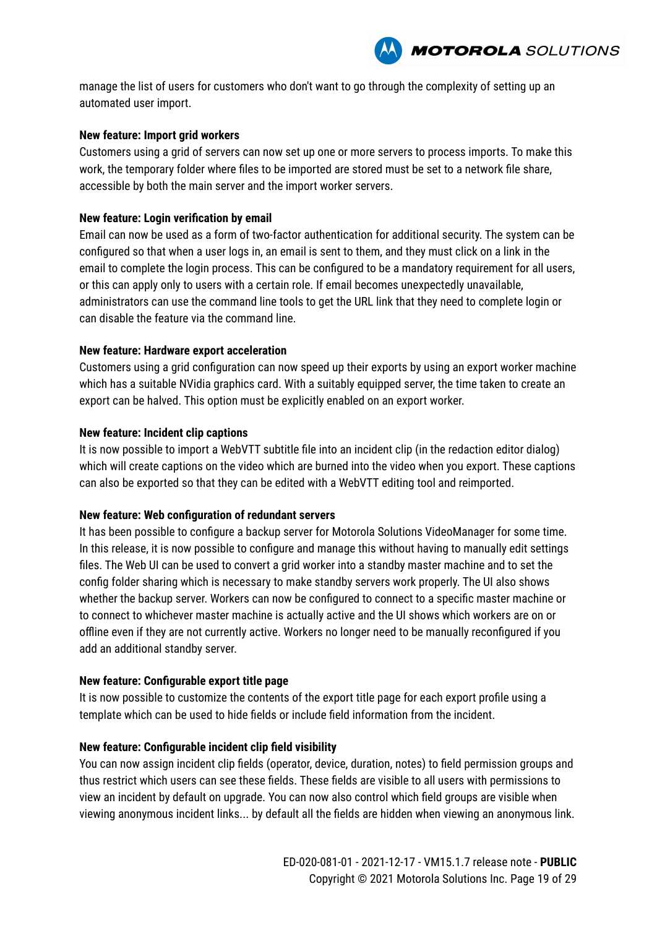

manage the list of users for customers who don't want to go through the complexity of setting up an automated user import.

#### **New feature: Import grid workers**

Customers using a grid of servers can now set up one or more servers to process imports. To make this work, the temporary folder where files to be imported are stored must be set to a network file share, accessible by both the main server and the import worker servers.

#### **New feature: Login verification by email**

Email can now be used as a form of two-factor authentication for additional security. The system can be configured so that when a user logs in, an email is sent to them, and they must click on a link in the email to complete the login process. This can be configured to be a mandatory requirement for all users, or this can apply only to users with a certain role. If email becomes unexpectedly unavailable, administrators can use the command line tools to get the URL link that they need to complete login or can disable the feature via the command line.

#### **New feature: Hardware export acceleration**

Customers using a grid configuration can now speed up their exports by using an export worker machine which has a suitable NVidia graphics card. With a suitably equipped server, the time taken to create an export can be halved. This option must be explicitly enabled on an export worker.

#### **New feature: Incident clip captions**

It is now possible to import a WebVTT subtitle file into an incident clip (in the redaction editor dialog) which will create captions on the video which are burned into the video when you export. These captions can also be exported so that they can be edited with a WebVTT editing tool and reimported.

#### **New feature: Web configuration of redundant servers**

It has been possible to configure a backup server for Motorola Solutions VideoManager for some time. In this release, it is now possible to configure and manage this without having to manually edit settings files. The Web UI can be used to convert a grid worker into a standby master machine and to set the config folder sharing which is necessary to make standby servers work properly. The UI also shows whether the backup server. Workers can now be configured to connect to a specific master machine or to connect to whichever master machine is actually active and the UI shows which workers are on or offline even if they are not currently active. Workers no longer need to be manually reconfigured if you add an additional standby server.

#### **New feature: Configurable export title page**

It is now possible to customize the contents of the export title page for each export profile using a template which can be used to hide fields or include field information from the incident.

#### **New feature: Configurable incident clip field visibility**

You can now assign incident clip fields (operator, device, duration, notes) to field permission groups and thus restrict which users can see these fields. These fields are visible to all users with permissions to view an incident by default on upgrade. You can now also control which field groups are visible when viewing anonymous incident links... by default all the fields are hidden when viewing an anonymous link.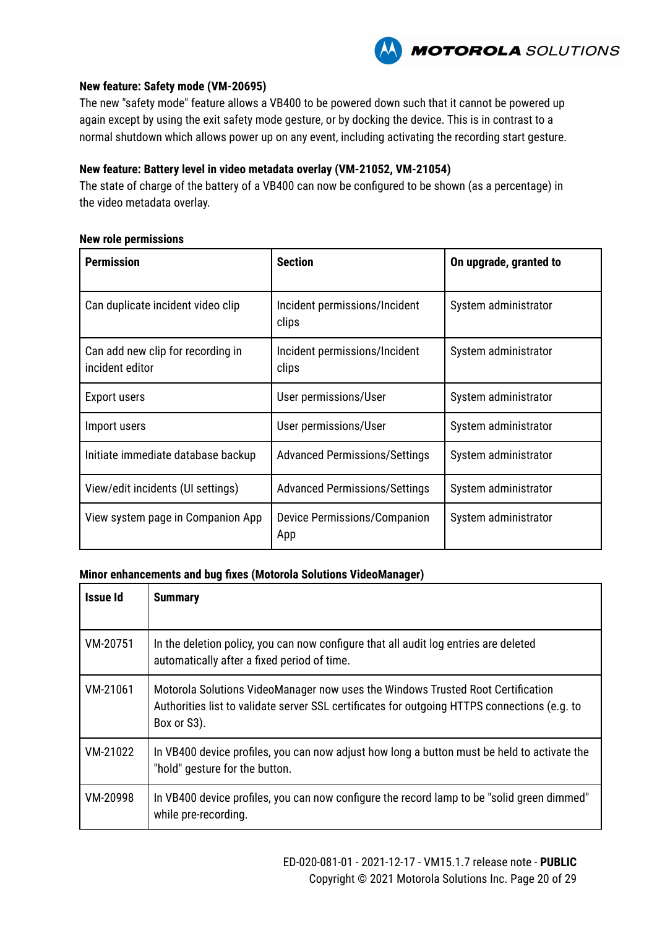

#### **New feature: Safety mode (VM-20695)**

The new "safety mode" feature allows a VB400 to be powered down such that it cannot be powered up again except by using the exit safety mode gesture, or by docking the device. This is in contrast to a normal shutdown which allows power up on any event, including activating the recording start gesture.

### **New feature: Battery level in video metadata overlay (VM-21052, VM-21054)**

The state of charge of the battery of a VB400 can now be configured to be shown (as a percentage) in the video metadata overlay.

#### **New role permissions**

| <b>Permission</b>                                    | <b>Section</b>                             | On upgrade, granted to |
|------------------------------------------------------|--------------------------------------------|------------------------|
| Can duplicate incident video clip                    | Incident permissions/Incident<br>clips     | System administrator   |
| Can add new clip for recording in<br>incident editor | Incident permissions/Incident<br>clips     | System administrator   |
| <b>Export users</b>                                  | User permissions/User                      | System administrator   |
| Import users                                         | User permissions/User                      | System administrator   |
| Initiate immediate database backup                   | <b>Advanced Permissions/Settings</b>       | System administrator   |
| View/edit incidents (UI settings)                    | <b>Advanced Permissions/Settings</b>       | System administrator   |
| View system page in Companion App                    | <b>Device Permissions/Companion</b><br>App | System administrator   |

| Issue Id | <b>Summary</b>                                                                                                                                                                                 |
|----------|------------------------------------------------------------------------------------------------------------------------------------------------------------------------------------------------|
| VM-20751 | In the deletion policy, you can now configure that all audit log entries are deleted<br>automatically after a fixed period of time.                                                            |
| VM-21061 | Motorola Solutions VideoManager now uses the Windows Trusted Root Certification<br>Authorities list to validate server SSL certificates for outgoing HTTPS connections (e.g. to<br>Box or S3). |
| VM-21022 | In VB400 device profiles, you can now adjust how long a button must be held to activate the<br>"hold" gesture for the button.                                                                  |
| VM-20998 | In VB400 device profiles, you can now configure the record lamp to be "solid green dimmed"<br>while pre-recording.                                                                             |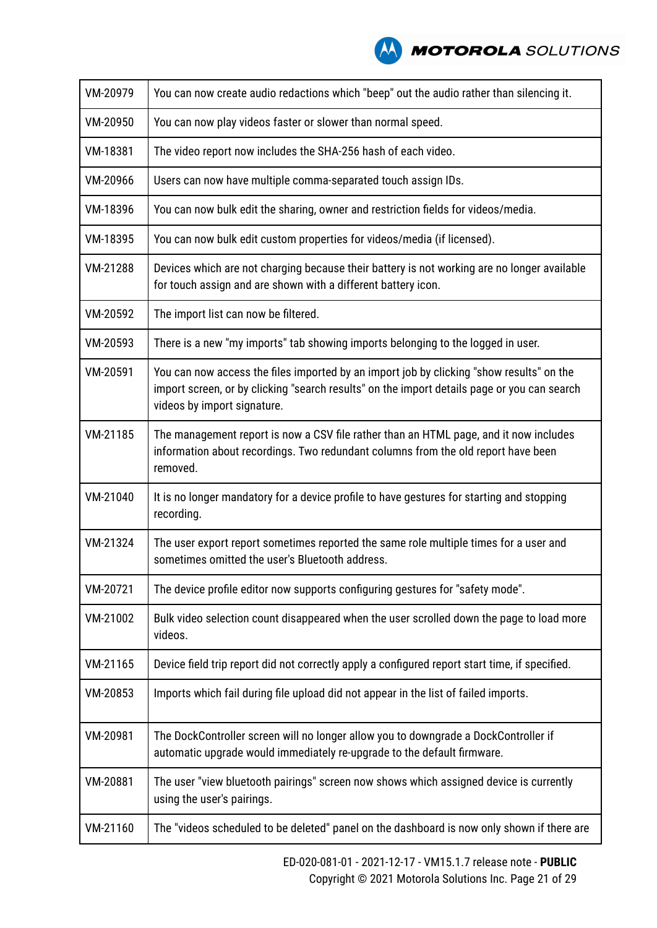| VM-20979 | You can now create audio redactions which "beep" out the audio rather than silencing it.                                                                                                                               |
|----------|------------------------------------------------------------------------------------------------------------------------------------------------------------------------------------------------------------------------|
| VM-20950 | You can now play videos faster or slower than normal speed.                                                                                                                                                            |
| VM-18381 | The video report now includes the SHA-256 hash of each video.                                                                                                                                                          |
| VM-20966 | Users can now have multiple comma-separated touch assign IDs.                                                                                                                                                          |
| VM-18396 | You can now bulk edit the sharing, owner and restriction fields for videos/media.                                                                                                                                      |
| VM-18395 | You can now bulk edit custom properties for videos/media (if licensed).                                                                                                                                                |
| VM-21288 | Devices which are not charging because their battery is not working are no longer available<br>for touch assign and are shown with a different battery icon.                                                           |
| VM-20592 | The import list can now be filtered.                                                                                                                                                                                   |
| VM-20593 | There is a new "my imports" tab showing imports belonging to the logged in user.                                                                                                                                       |
| VM-20591 | You can now access the files imported by an import job by clicking "show results" on the<br>import screen, or by clicking "search results" on the import details page or you can search<br>videos by import signature. |
| VM-21185 | The management report is now a CSV file rather than an HTML page, and it now includes<br>information about recordings. Two redundant columns from the old report have been<br>removed.                                 |
| VM-21040 | It is no longer mandatory for a device profile to have gestures for starting and stopping<br>recording.                                                                                                                |
| VM-21324 | The user export report sometimes reported the same role multiple times for a user and<br>sometimes omitted the user's Bluetooth address.                                                                               |
| VM-20721 | The device profile editor now supports configuring gestures for "safety mode".                                                                                                                                         |
| VM-21002 | Bulk video selection count disappeared when the user scrolled down the page to load more<br>videos.                                                                                                                    |
| VM-21165 | Device field trip report did not correctly apply a configured report start time, if specified.                                                                                                                         |
| VM-20853 | Imports which fail during file upload did not appear in the list of failed imports.                                                                                                                                    |
| VM-20981 | The DockController screen will no longer allow you to downgrade a DockController if<br>automatic upgrade would immediately re-upgrade to the default firmware.                                                         |
| VM-20881 | The user "view bluetooth pairings" screen now shows which assigned device is currently<br>using the user's pairings.                                                                                                   |
| VM-21160 | The "videos scheduled to be deleted" panel on the dashboard is now only shown if there are                                                                                                                             |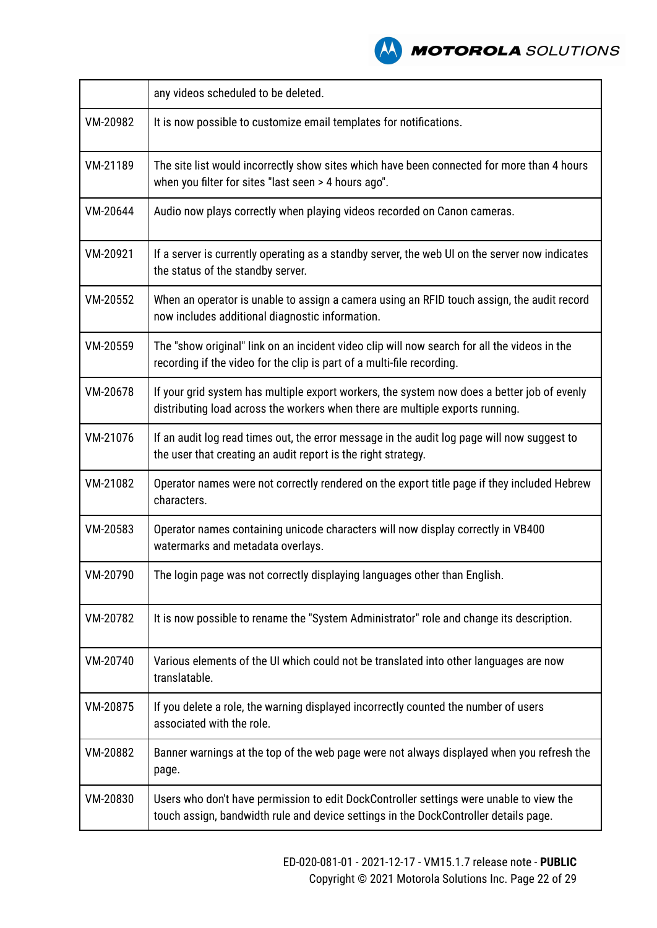|          | any videos scheduled to be deleted.                                                                                                                                             |
|----------|---------------------------------------------------------------------------------------------------------------------------------------------------------------------------------|
| VM-20982 | It is now possible to customize email templates for notifications.                                                                                                              |
| VM-21189 | The site list would incorrectly show sites which have been connected for more than 4 hours<br>when you filter for sites "last seen > 4 hours ago".                              |
| VM-20644 | Audio now plays correctly when playing videos recorded on Canon cameras.                                                                                                        |
| VM-20921 | If a server is currently operating as a standby server, the web UI on the server now indicates<br>the status of the standby server.                                             |
| VM-20552 | When an operator is unable to assign a camera using an RFID touch assign, the audit record<br>now includes additional diagnostic information.                                   |
| VM-20559 | The "show original" link on an incident video clip will now search for all the videos in the<br>recording if the video for the clip is part of a multi-file recording.          |
| VM-20678 | If your grid system has multiple export workers, the system now does a better job of evenly<br>distributing load across the workers when there are multiple exports running.    |
| VM-21076 | If an audit log read times out, the error message in the audit log page will now suggest to<br>the user that creating an audit report is the right strategy.                    |
| VM-21082 | Operator names were not correctly rendered on the export title page if they included Hebrew<br>characters.                                                                      |
| VM-20583 | Operator names containing unicode characters will now display correctly in VB400<br>watermarks and metadata overlays.                                                           |
| VM-20790 | The login page was not correctly displaying languages other than English.                                                                                                       |
| VM-20782 | It is now possible to rename the "System Administrator" role and change its description.                                                                                        |
| VM-20740 | Various elements of the UI which could not be translated into other languages are now<br>translatable.                                                                          |
| VM-20875 | If you delete a role, the warning displayed incorrectly counted the number of users<br>associated with the role.                                                                |
| VM-20882 | Banner warnings at the top of the web page were not always displayed when you refresh the<br>page.                                                                              |
| VM-20830 | Users who don't have permission to edit DockController settings were unable to view the<br>touch assign, bandwidth rule and device settings in the DockController details page. |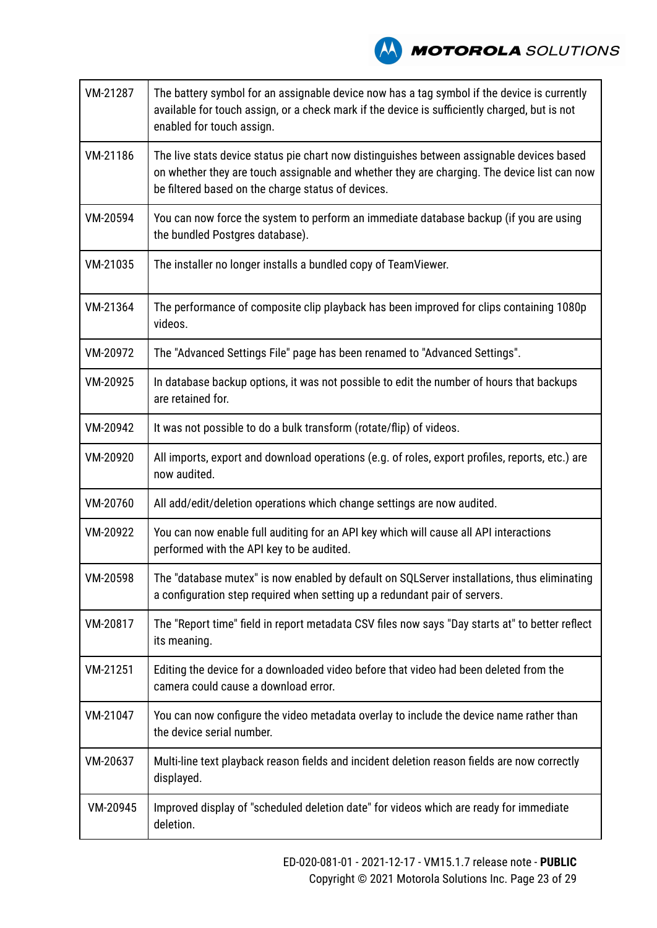

| VM-21287 | The battery symbol for an assignable device now has a tag symbol if the device is currently<br>available for touch assign, or a check mark if the device is sufficiently charged, but is not<br>enabled for touch assign.                      |
|----------|------------------------------------------------------------------------------------------------------------------------------------------------------------------------------------------------------------------------------------------------|
| VM-21186 | The live stats device status pie chart now distinguishes between assignable devices based<br>on whether they are touch assignable and whether they are charging. The device list can now<br>be filtered based on the charge status of devices. |
| VM-20594 | You can now force the system to perform an immediate database backup (if you are using<br>the bundled Postgres database).                                                                                                                      |
| VM-21035 | The installer no longer installs a bundled copy of TeamViewer.                                                                                                                                                                                 |
| VM-21364 | The performance of composite clip playback has been improved for clips containing 1080p<br>videos.                                                                                                                                             |
| VM-20972 | The "Advanced Settings File" page has been renamed to "Advanced Settings".                                                                                                                                                                     |
| VM-20925 | In database backup options, it was not possible to edit the number of hours that backups<br>are retained for.                                                                                                                                  |
| VM-20942 | It was not possible to do a bulk transform (rotate/flip) of videos.                                                                                                                                                                            |
| VM-20920 | All imports, export and download operations (e.g. of roles, export profiles, reports, etc.) are<br>now audited.                                                                                                                                |
| VM-20760 | All add/edit/deletion operations which change settings are now audited.                                                                                                                                                                        |
| VM-20922 | You can now enable full auditing for an API key which will cause all API interactions<br>performed with the API key to be audited.                                                                                                             |
| VM-20598 | The "database mutex" is now enabled by default on SQLServer installations, thus eliminating<br>a configuration step required when setting up a redundant pair of servers.                                                                      |
| VM-20817 | The "Report time" field in report metadata CSV files now says "Day starts at" to better reflect<br>its meaning.                                                                                                                                |
| VM-21251 | Editing the device for a downloaded video before that video had been deleted from the<br>camera could cause a download error.                                                                                                                  |
| VM-21047 | You can now configure the video metadata overlay to include the device name rather than<br>the device serial number.                                                                                                                           |
| VM-20637 | Multi-line text playback reason fields and incident deletion reason fields are now correctly<br>displayed.                                                                                                                                     |
| VM-20945 | Improved display of "scheduled deletion date" for videos which are ready for immediate<br>deletion.                                                                                                                                            |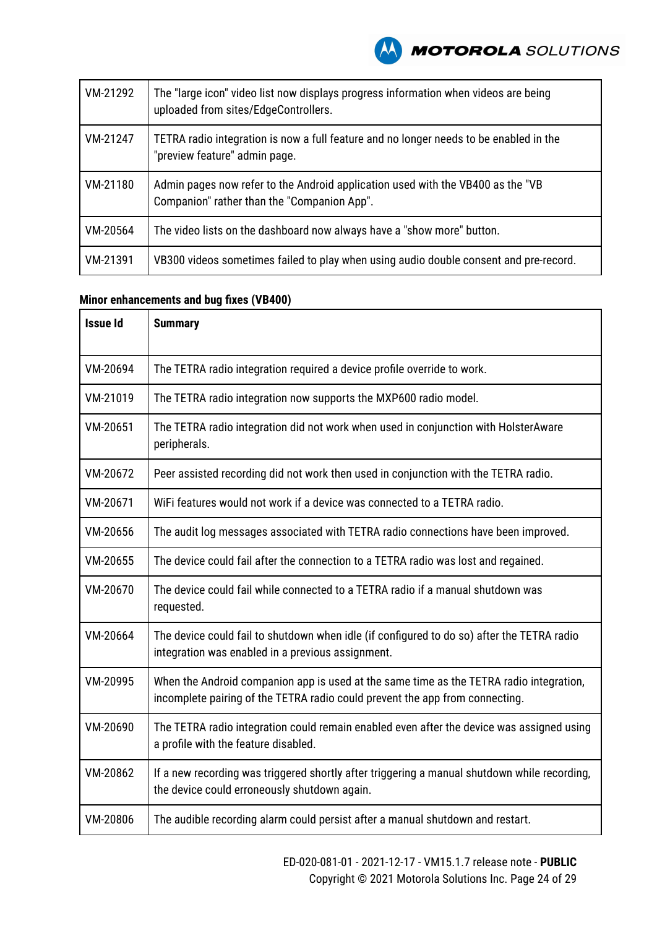

| VM-21292 | The "large icon" video list now displays progress information when videos are being<br>uploaded from sites/EdgeControllers.    |
|----------|--------------------------------------------------------------------------------------------------------------------------------|
| VM-21247 | TETRA radio integration is now a full feature and no longer needs to be enabled in the<br>"preview feature" admin page.        |
| VM-21180 | Admin pages now refer to the Android application used with the VB400 as the "VB<br>Companion" rather than the "Companion App". |
| VM-20564 | The video lists on the dashboard now always have a "show more" button.                                                         |
| VM-21391 | VB300 videos sometimes failed to play when using audio double consent and pre-record.                                          |

### **Minor enhancements and bug fixes (VB400)**

| <b>Issue Id</b> | <b>Summary</b>                                                                                                                                                          |
|-----------------|-------------------------------------------------------------------------------------------------------------------------------------------------------------------------|
| VM-20694        | The TETRA radio integration required a device profile override to work.                                                                                                 |
| VM-21019        | The TETRA radio integration now supports the MXP600 radio model.                                                                                                        |
| VM-20651        | The TETRA radio integration did not work when used in conjunction with HolsterAware<br>peripherals.                                                                     |
| VM-20672        | Peer assisted recording did not work then used in conjunction with the TETRA radio.                                                                                     |
| VM-20671        | WIFI features would not work if a device was connected to a TETRA radio.                                                                                                |
| VM-20656        | The audit log messages associated with TETRA radio connections have been improved.                                                                                      |
| VM-20655        | The device could fail after the connection to a TETRA radio was lost and regained.                                                                                      |
| VM-20670        | The device could fail while connected to a TETRA radio if a manual shutdown was<br>requested.                                                                           |
| VM-20664        | The device could fail to shutdown when idle (if configured to do so) after the TETRA radio<br>integration was enabled in a previous assignment.                         |
| VM-20995        | When the Android companion app is used at the same time as the TETRA radio integration,<br>incomplete pairing of the TETRA radio could prevent the app from connecting. |
| VM-20690        | The TETRA radio integration could remain enabled even after the device was assigned using<br>a profile with the feature disabled.                                       |
| VM-20862        | If a new recording was triggered shortly after triggering a manual shutdown while recording,<br>the device could erroneously shutdown again.                            |
| VM-20806        | The audible recording alarm could persist after a manual shutdown and restart.                                                                                          |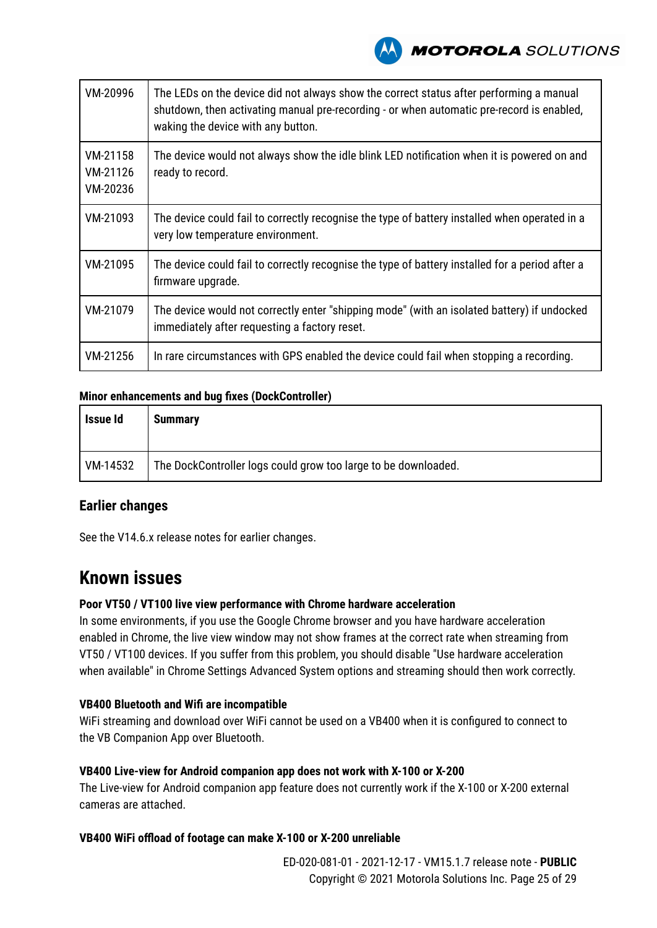

| VM-20996                         | The LEDs on the device did not always show the correct status after performing a manual<br>shutdown, then activating manual pre-recording - or when automatic pre-record is enabled,<br>waking the device with any button. |
|----------------------------------|----------------------------------------------------------------------------------------------------------------------------------------------------------------------------------------------------------------------------|
| VM-21158<br>VM-21126<br>VM-20236 | The device would not always show the idle blink LED notification when it is powered on and<br>ready to record.                                                                                                             |
| VM-21093                         | The device could fail to correctly recognise the type of battery installed when operated in a<br>very low temperature environment.                                                                                         |
| VM-21095                         | The device could fail to correctly recognise the type of battery installed for a period after a<br>firmware upgrade.                                                                                                       |
| VM-21079                         | The device would not correctly enter "shipping mode" (with an isolated battery) if undocked<br>immediately after requesting a factory reset.                                                                               |
| VM-21256                         | In rare circumstances with GPS enabled the device could fail when stopping a recording.                                                                                                                                    |

### **Minor enhancements and bug fixes (DockController)**

| Issue Id | <b>Summary</b>                                                 |
|----------|----------------------------------------------------------------|
| VM-14532 | The DockController logs could grow too large to be downloaded. |

### **Earlier changes**

See the V14.6.x release notes for earlier changes.

### **Known issues**

#### **Poor VT50 / VT100 live view performance with Chrome hardware acceleration**

In some environments, if you use the Google Chrome browser and you have hardware acceleration enabled in Chrome, the live view window may not show frames at the correct rate when streaming from VT50 / VT100 devices. If you suffer from this problem, you should disable "Use hardware acceleration when available" in Chrome Settings Advanced System options and streaming should then work correctly.

### **VB400 Bluetooth and Wifi are incompatible**

WiFi streaming and download over WiFi cannot be used on a VB400 when it is configured to connect to the VB Companion App over Bluetooth.

### **VB400 Live-view for Android companion app does not work with X-100 or X-200**

The Live-view for Android companion app feature does not currently work if the X-100 or X-200 external cameras are attached.

### **VB400 WiFi offload of footage can make X-100 or X-200 unreliable**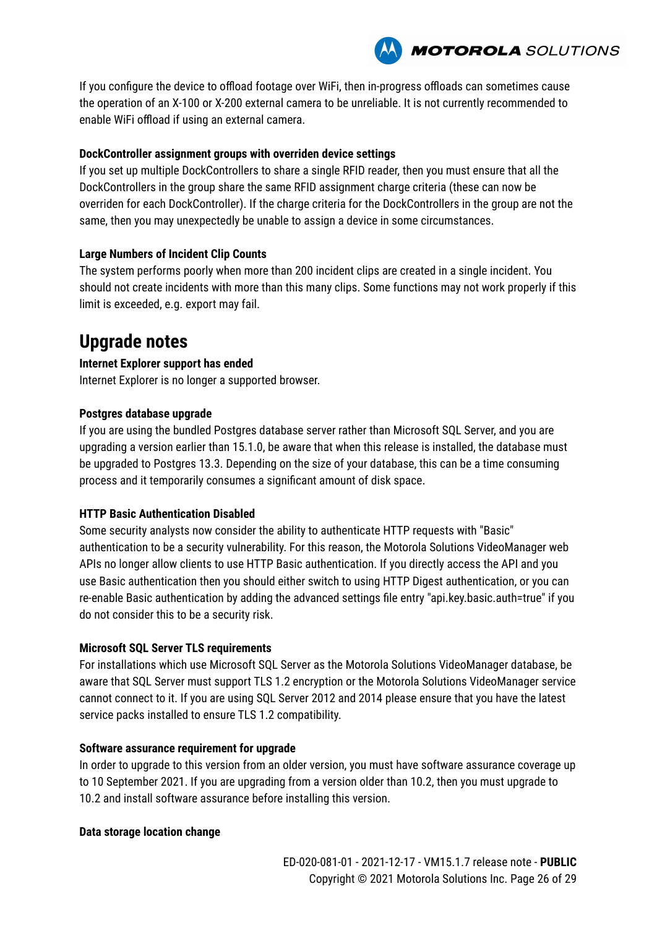

If you configure the device to offload footage over WiFi, then in-progress offloads can sometimes cause the operation of an X-100 or X-200 external camera to be unreliable. It is not currently recommended to enable WiFi offload if using an external camera.

### **DockController assignment groups with overriden device settings**

If you set up multiple DockControllers to share a single RFID reader, then you must ensure that all the DockControllers in the group share the same RFID assignment charge criteria (these can now be overriden for each DockController). If the charge criteria for the DockControllers in the group are not the same, then you may unexpectedly be unable to assign a device in some circumstances.

### **Large Numbers of Incident Clip Counts**

The system performs poorly when more than 200 incident clips are created in a single incident. You should not create incidents with more than this many clips. Some functions may not work properly if this limit is exceeded, e.g. export may fail.

# **Upgrade notes**

### **Internet Explorer support has ended**

Internet Explorer is no longer a supported browser.

### **Postgres database upgrade**

If you are using the bundled Postgres database server rather than Microsoft SQL Server, and you are upgrading a version earlier than 15.1.0, be aware that when this release is installed, the database must be upgraded to Postgres 13.3. Depending on the size of your database, this can be a time consuming process and it temporarily consumes a significant amount of disk space.

### **HTTP Basic Authentication Disabled**

Some security analysts now consider the ability to authenticate HTTP requests with "Basic" authentication to be a security vulnerability. For this reason, the Motorola Solutions VideoManager web APIs no longer allow clients to use HTTP Basic authentication. If you directly access the API and you use Basic authentication then you should either switch to using HTTP Digest authentication, or you can re-enable Basic authentication by adding the advanced settings file entry "api.key.basic.auth=true" if you do not consider this to be a security risk.

### **Microsoft SQL Server TLS requirements**

For installations which use Microsoft SQL Server as the Motorola Solutions VideoManager database, be aware that SQL Server must support TLS 1.2 encryption or the Motorola Solutions VideoManager service cannot connect to it. If you are using SQL Server 2012 and 2014 please ensure that you have the latest service packs installed to ensure TLS 1.2 compatibility.

### **Software assurance requirement for upgrade**

In order to upgrade to this version from an older version, you must have software assurance coverage up to 10 September 2021. If you are upgrading from a version older than 10.2, then you must upgrade to 10.2 and install software assurance before installing this version.

### **Data storage location change**

ED-020-081-01 - 2021-12-17 - VM15.1.7 release note - **PUBLIC** Copyright © 2021 Motorola Solutions Inc. Page 26 of 29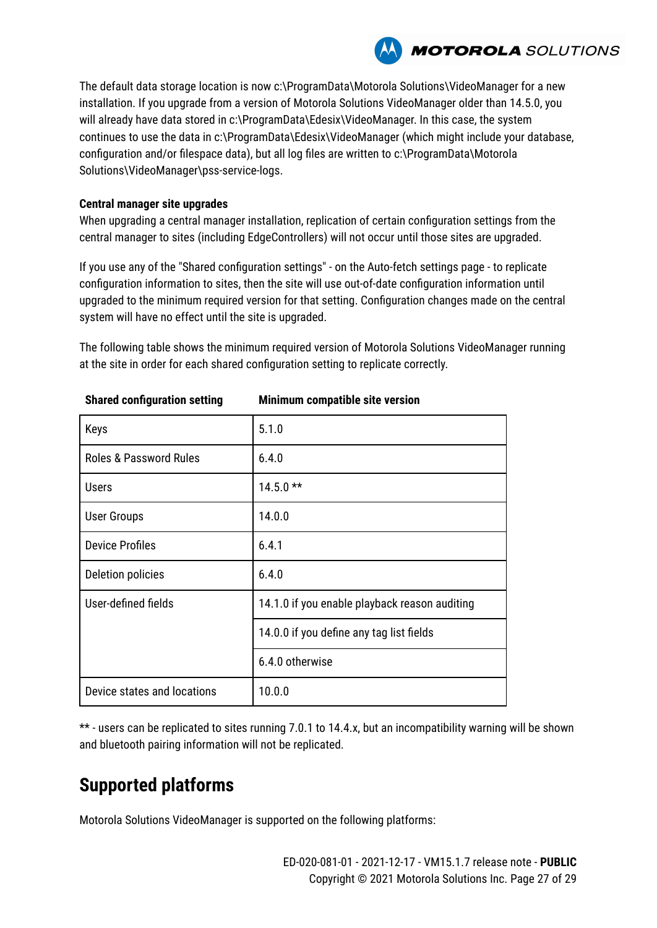

The default data storage location is now c:\ProgramData\Motorola Solutions\VideoManager for a new installation. If you upgrade from a version of Motorola Solutions VideoManager older than 14.5.0, you will already have data stored in c:\ProgramData\Edesix\VideoManager. In this case, the system continues to use the data in c:\ProgramData\Edesix\VideoManager (which might include your database, configuration and/or filespace data), but all log files are written to c:\ProgramData\Motorola Solutions\VideoManager\pss-service-logs.

#### **Central manager site upgrades**

When upgrading a central manager installation, replication of certain configuration settings from the central manager to sites (including EdgeControllers) will not occur until those sites are upgraded.

If you use any of the "Shared configuration settings" - on the Auto-fetch settings page - to replicate configuration information to sites, then the site will use out-of-date configuration information until upgraded to the minimum required version for that setting. Configuration changes made on the central system will have no effect until the site is upgraded.

The following table shows the minimum required version of Motorola Solutions VideoManager running at the site in order for each shared configuration setting to replicate correctly.

| Keys                              | 5.1.0                                         |  |  |
|-----------------------------------|-----------------------------------------------|--|--|
| <b>Roles &amp; Password Rules</b> | 6.4.0                                         |  |  |
| <b>Users</b>                      | $14.5.0**$                                    |  |  |
| <b>User Groups</b>                | 14.0.0                                        |  |  |
| <b>Device Profiles</b>            | 6.4.1                                         |  |  |
| Deletion policies                 | 6.4.0                                         |  |  |
| User-defined fields               | 14.1.0 if you enable playback reason auditing |  |  |
|                                   | 14.0.0 if you define any tag list fields      |  |  |
|                                   | 6.4.0 otherwise                               |  |  |
| Device states and locations       | 10.0.0                                        |  |  |

**Shared configuration setting Minimum compatible site version**

\*\* - users can be replicated to sites running 7.0.1 to 14.4.x, but an incompatibility warning will be shown and bluetooth pairing information will not be replicated.

# **Supported platforms**

Motorola Solutions VideoManager is supported on the following platforms: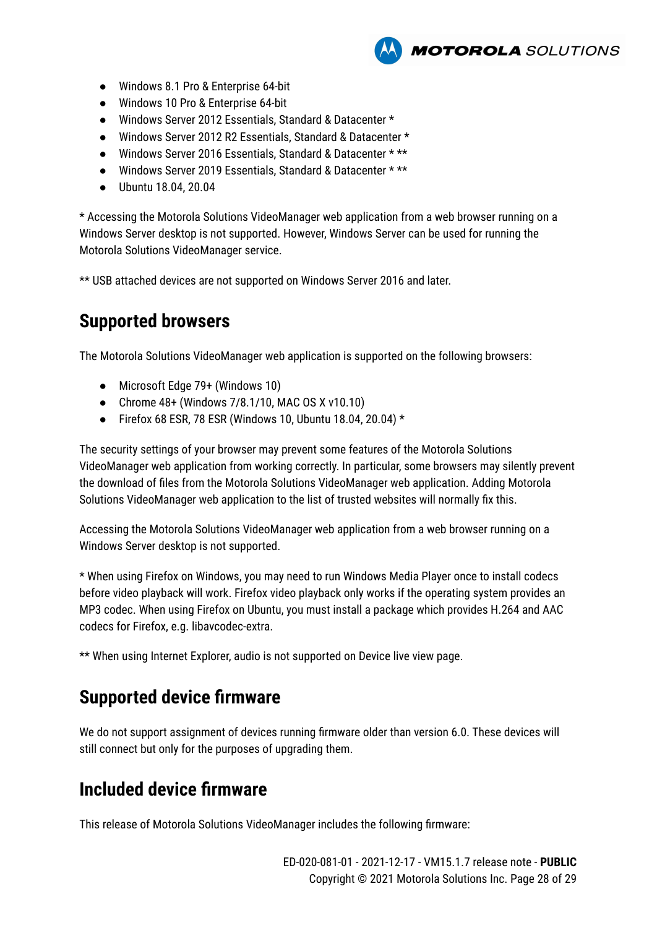- Windows 8.1 Pro & Enterprise 64-bit
- Windows 10 Pro & Enterprise 64-bit
- Windows Server 2012 Essentials, Standard & Datacenter \*
- Windows Server 2012 R2 Essentials, Standard & Datacenter \*
- Windows Server 2016 Essentials, Standard & Datacenter \* \*\*
- Windows Server 2019 Essentials, Standard & Datacenter \* \*\*
- Ubuntu 18.04, 20.04

\* Accessing the Motorola Solutions VideoManager web application from a web browser running on a Windows Server desktop is not supported. However, Windows Server can be used for running the Motorola Solutions VideoManager service.

**MOTOROLA** SOLUTIONS

\*\* USB attached devices are not supported on Windows Server 2016 and later.

# **Supported browsers**

The Motorola Solutions VideoManager web application is supported on the following browsers:

- Microsoft Edge 79+ (Windows 10)
- Chrome 48+ (Windows 7/8.1/10, MAC OS X v10.10)
- Firefox 68 ESR, 78 ESR (Windows 10, Ubuntu 18.04, 20.04)  $*$

The security settings of your browser may prevent some features of the Motorola Solutions VideoManager web application from working correctly. In particular, some browsers may silently prevent the download of files from the Motorola Solutions VideoManager web application. Adding Motorola Solutions VideoManager web application to the list of trusted websites will normally fix this.

Accessing the Motorola Solutions VideoManager web application from a web browser running on a Windows Server desktop is not supported.

\* When using Firefox on Windows, you may need to run Windows Media Player once to install codecs before video playback will work. Firefox video playback only works if the operating system provides an MP3 codec. When using Firefox on Ubuntu, you must install a package which provides H.264 and AAC codecs for Firefox, e.g. libavcodec-extra.

\*\* When using Internet Explorer, audio is not supported on Device live view page.

# **Supported device firmware**

We do not support assignment of devices running firmware older than version 6.0. These devices will still connect but only for the purposes of upgrading them.

# **Included device firmware**

This release of Motorola Solutions VideoManager includes the following firmware: